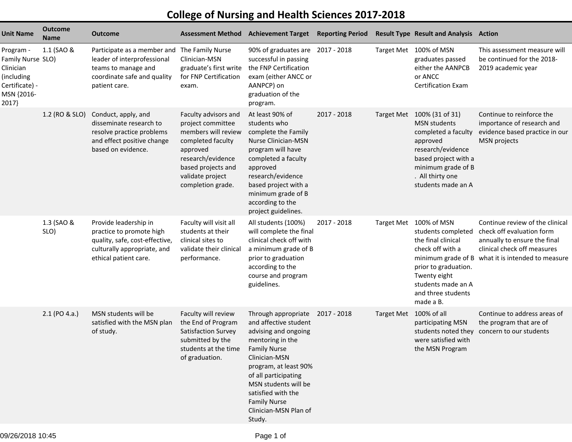## **College of Nursing and Health Sciences 2017-2018**

| <b>Unit Name</b>                                                                                   | <b>Outcome</b><br>Name | <b>Outcome</b>                                                                                                                                     | <b>Assessment Method</b>                                                                                                                                                              | <b>Achievement Target</b>                                                                                                                                                                                                                                          | <b>Reporting Period</b> |                        | <b>Result Type Result and Analysis Action</b>                                                                                                                                                                 |                                                                                                                                                               |
|----------------------------------------------------------------------------------------------------|------------------------|----------------------------------------------------------------------------------------------------------------------------------------------------|---------------------------------------------------------------------------------------------------------------------------------------------------------------------------------------|--------------------------------------------------------------------------------------------------------------------------------------------------------------------------------------------------------------------------------------------------------------------|-------------------------|------------------------|---------------------------------------------------------------------------------------------------------------------------------------------------------------------------------------------------------------|---------------------------------------------------------------------------------------------------------------------------------------------------------------|
| Program -<br>Family Nurse SLO)<br>Clinician<br>(including<br>Certificate) -<br>MSN {2016-<br>2017} | 1.1 (SAO &             | Participate as a member and The Family Nurse<br>leader of interprofessional<br>teams to manage and<br>coordinate safe and quality<br>patient care. | Clinician-MSN<br>graduate's first write<br>for FNP Certification<br>exam.                                                                                                             | 90% of graduates are 2017 - 2018<br>successful in passing<br>the FNP Certification<br>exam (either ANCC or<br>AANPCP) on<br>graduation of the<br>program.                                                                                                          |                         |                        | Target Met 100% of MSN<br>graduates passed<br>either the AANPCB<br>or ANCC<br><b>Certification Exam</b>                                                                                                       | This assessment measure will<br>be continued for the 2018-<br>2019 academic year                                                                              |
|                                                                                                    | 1.2 (RO & SLO)         | Conduct, apply, and<br>disseminate research to<br>resolve practice problems<br>and effect positive change<br>based on evidence.                    | Faculty advisors and<br>project committee<br>members will review<br>completed faculty<br>approved<br>research/evidence<br>based projects and<br>validate project<br>completion grade. | At least 90% of<br>students who<br>complete the Family<br>Nurse Clinician-MSN<br>program will have<br>completed a faculty<br>approved<br>research/evidence<br>based project with a<br>minimum grade of B<br>according to the<br>project guidelines.                | 2017 - 2018             |                        | Target Met 100% (31 of 31)<br><b>MSN</b> students<br>completed a faculty<br>approved<br>research/evidence<br>based project with a<br>minimum grade of B<br>. All thirty one<br>students made an A             | Continue to reinforce the<br>importance of research and<br>evidence based practice in our<br><b>MSN</b> projects                                              |
|                                                                                                    | 1.3 (SAO &<br>SLO)     | Provide leadership in<br>practice to promote high<br>quality, safe, cost-effective,<br>culturally appropriate, and<br>ethical patient care.        | Faculty will visit all<br>students at their<br>clinical sites to<br>validate their clinical<br>performance.                                                                           | All students (100%)<br>will complete the final<br>clinical check off with<br>a minimum grade of B<br>prior to graduation<br>according to the<br>course and program<br>guidelines.                                                                                  | 2017 - 2018             |                        | Target Met 100% of MSN<br>students completed<br>the final clinical<br>check off with a<br>minimum grade of B<br>prior to graduation.<br>Twenty eight<br>students made an A<br>and three students<br>made a B. | Continue review of the clinical<br>check off evaluation form<br>annually to ensure the final<br>clinical check off measures<br>what it is intended to measure |
|                                                                                                    | $2.1$ (PO 4.a.)        | MSN students will be<br>satisfied with the MSN plan<br>of study.                                                                                   | Faculty will review<br>the End of Program<br>Satisfaction Survey<br>submitted by the<br>students at the time Family Nurse<br>of graduation.                                           | Through appropriate<br>and affective student<br>advising and ongoing<br>mentoring in the<br>Clinician-MSN<br>program, at least 90%<br>of all participating<br>MSN students will be<br>satisfied with the<br><b>Family Nurse</b><br>Clinician-MSN Plan of<br>Study. | 2017 - 2018             | Target Met 100% of all | participating MSN<br>students noted they<br>were satisfied with<br>the MSN Program                                                                                                                            | Continue to address areas of<br>the program that are of<br>concern to our students                                                                            |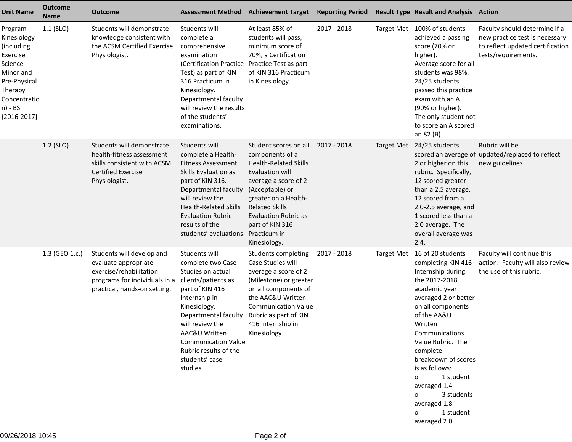| <b>Unit Name</b>                                                                                                                                  | <b>Outcome</b><br><b>Name</b> | <b>Outcome</b>                                                                                                                                | Assessment Method Achievement Target                                                                                                                                                                                                                                                |                                                                                                                                                                                                                                                           | <b>Reporting Period</b> | <b>Result Type Result and Analysis Action</b>                                                                                                                                                                                                                                                                                                                                                            |                                                                                                                            |
|---------------------------------------------------------------------------------------------------------------------------------------------------|-------------------------------|-----------------------------------------------------------------------------------------------------------------------------------------------|-------------------------------------------------------------------------------------------------------------------------------------------------------------------------------------------------------------------------------------------------------------------------------------|-----------------------------------------------------------------------------------------------------------------------------------------------------------------------------------------------------------------------------------------------------------|-------------------------|----------------------------------------------------------------------------------------------------------------------------------------------------------------------------------------------------------------------------------------------------------------------------------------------------------------------------------------------------------------------------------------------------------|----------------------------------------------------------------------------------------------------------------------------|
| Program -<br>Kinesiology<br>(including<br>Exercise<br>Science<br>Minor and<br>Pre-Physical<br>Therapy<br>Concentratio<br>n) - BS<br>${2016-2017}$ | $1.1$ (SLO)                   | Students will demonstrate<br>knowledge consistent with<br>the ACSM Certified Exercise<br>Physiologist.                                        | Students will<br>complete a<br>comprehensive<br>examination<br>(Certification Practice Practice Test as part<br>Test) as part of KIN<br>316 Practicum in<br>Kinesiology.<br>Departmental faculty<br>will review the results<br>of the students'<br>examinations.                    | At least 85% of<br>students will pass,<br>minimum score of<br>70%, a Certification<br>of KIN 316 Practicum<br>in Kinesiology.                                                                                                                             | 2017 - 2018             | Target Met 100% of students<br>achieved a passing<br>score (70% or<br>higher).<br>Average score for all<br>students was 98%.<br>24/25 students<br>passed this practice<br>exam with an A<br>(90% or higher).<br>The only student not<br>to score an A scored<br>an 82 (B).                                                                                                                               | Faculty should determine if a<br>new practice test is necessary<br>to reflect updated certification<br>tests/requirements. |
|                                                                                                                                                   | 1.2 (SLO)                     | Students will demonstrate<br>health-fitness assessment<br>skills consistent with ACSM<br><b>Certified Exercise</b><br>Physiologist.           | Students will<br>complete a Health-<br><b>Fitness Assessment</b><br>Skills Evaluation as<br>part of KIN 316.<br>Departmental faculty<br>will review the<br><b>Health-Related Skills</b><br><b>Evaluation Rubric</b><br>results of the<br>students' evaluations. Practicum in        | Student scores on all<br>components of a<br><b>Health-Related Skills</b><br>Evaluation will<br>average a score of 2<br>(Acceptable) or<br>greater on a Health-<br><b>Related Skills</b><br><b>Evaluation Rubric as</b><br>part of KIN 316<br>Kinesiology. | 2017 - 2018             | Target Met 24/25 students<br>2 or higher on this<br>rubric. Specifically,<br>12 scored greater<br>than a 2.5 average,<br>12 scored from a<br>2.0-2.5 average, and<br>1 scored less than a<br>2.0 average. The<br>overall average was<br>2.4.                                                                                                                                                             | Rubric will be<br>scored an average of updated/replaced to reflect<br>new guidelines.                                      |
|                                                                                                                                                   | 1.3 (GEO 1.c.)                | Students will develop and<br>evaluate appropriate<br>exercise/rehabilitation<br>programs for individuals in a<br>practical, hands-on setting. | Students will<br>complete two Case<br>Studies on actual<br>clients/patients as<br>part of KIN 416<br>Internship in<br>Kinesiology.<br>Departmental faculty<br>will review the<br>AAC&U Written<br><b>Communication Value</b><br>Rubric results of the<br>students' case<br>studies. | Students completing<br>Case Studies will<br>average a score of 2<br>(Milestone) or greater<br>on all components of<br>the AAC&U Written<br><b>Communication Value</b><br>Rubric as part of KIN<br>416 Internship in<br>Kinesiology.                       | 2017 - 2018             | Target Met 16 of 20 students<br>completing KIN 416<br>Internship during<br>the 2017-2018<br>academic year<br>averaged 2 or better<br>on all components<br>of the AA&U<br>Written<br>Communications<br>Value Rubric. The<br>complete<br>breakdown of scores<br>is as follows:<br>1 student<br>$\Omega$<br>averaged 1.4<br>3 students<br>$\Omega$<br>averaged 1.8<br>1 student<br>$\Omega$<br>averaged 2.0 | Faculty will continue this<br>action. Faculty will also review<br>the use of this rubric.                                  |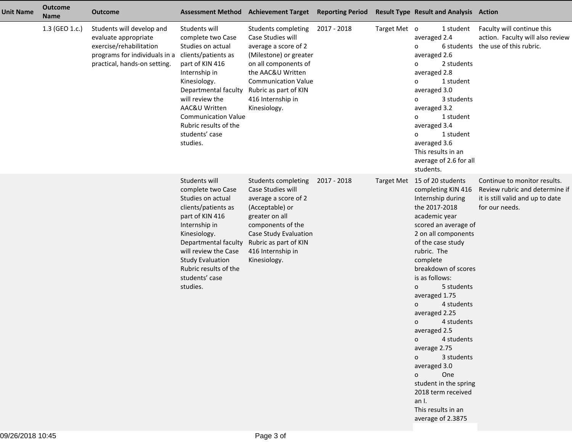| <b>Unit Name</b> | <b>Outcome</b><br><b>Name</b> | <b>Outcome</b>                                                                                                                                |                                                                                                                                                                                                                                                                                     | Assessment Method Achievement Target Reporting Period                                                                                                                                                                               |             |              | <b>Result Type Result and Analysis Action</b>                                                                                                                                                                                                                                                                                                                                                                                                                                                                                                                           |                                                                                                                      |
|------------------|-------------------------------|-----------------------------------------------------------------------------------------------------------------------------------------------|-------------------------------------------------------------------------------------------------------------------------------------------------------------------------------------------------------------------------------------------------------------------------------------|-------------------------------------------------------------------------------------------------------------------------------------------------------------------------------------------------------------------------------------|-------------|--------------|-------------------------------------------------------------------------------------------------------------------------------------------------------------------------------------------------------------------------------------------------------------------------------------------------------------------------------------------------------------------------------------------------------------------------------------------------------------------------------------------------------------------------------------------------------------------------|----------------------------------------------------------------------------------------------------------------------|
|                  | 1.3 (GEO 1.c.)                | Students will develop and<br>evaluate appropriate<br>exercise/rehabilitation<br>programs for individuals in a<br>practical, hands-on setting. | Students will<br>complete two Case<br>Studies on actual<br>clients/patients as<br>part of KIN 416<br>Internship in<br>Kinesiology.<br>Departmental faculty<br>will review the<br>AAC&U Written<br><b>Communication Value</b><br>Rubric results of the<br>students' case<br>studies. | Students completing<br>Case Studies will<br>average a score of 2<br>(Milestone) or greater<br>on all components of<br>the AAC&U Written<br><b>Communication Value</b><br>Rubric as part of KIN<br>416 Internship in<br>Kinesiology. | 2017 - 2018 | Target Met o | 1 student<br>averaged 2.4<br>6 students<br>0<br>averaged 2.6<br>2 students<br>0<br>averaged 2.8<br>1 student<br>0<br>averaged 3.0<br>3 students<br>0<br>averaged 3.2<br>1 student<br>0<br>averaged 3.4<br>1 student<br>0<br>averaged 3.6<br>This results in an<br>average of 2.6 for all<br>students.                                                                                                                                                                                                                                                                   | Faculty will continue this<br>action. Faculty will also review<br>the use of this rubric.                            |
|                  |                               |                                                                                                                                               | Students will<br>complete two Case<br>Studies on actual<br>clients/patients as<br>part of KIN 416<br>Internship in<br>Kinesiology.<br>Departmental faculty<br>will review the Case<br><b>Study Evaluation</b><br>Rubric results of the<br>students' case<br>studies.                | Students completing<br>Case Studies will<br>average a score of 2<br>(Acceptable) or<br>greater on all<br>components of the<br>Case Study Evaluation<br>Rubric as part of KIN<br>416 Internship in<br>Kinesiology.                   | 2017 - 2018 |              | Target Met 15 of 20 students<br>completing KIN 416<br>Internship during<br>the 2017-2018<br>academic year<br>scored an average of<br>2 on all components<br>of the case study<br>rubric. The<br>complete<br>breakdown of scores<br>is as follows:<br>5 students<br>o<br>averaged 1.75<br>4 students<br>0<br>averaged 2.25<br>4 students<br>$\mathbf{o}$<br>averaged 2.5<br>4 students<br>$\mathsf{o}$<br>average 2.75<br>3 students<br>0<br>averaged 3.0<br>One<br>0<br>student in the spring<br>2018 term received<br>an I.<br>This results in an<br>average of 2.3875 | Continue to monitor results.<br>Review rubric and determine if<br>it is still valid and up to date<br>for our needs. |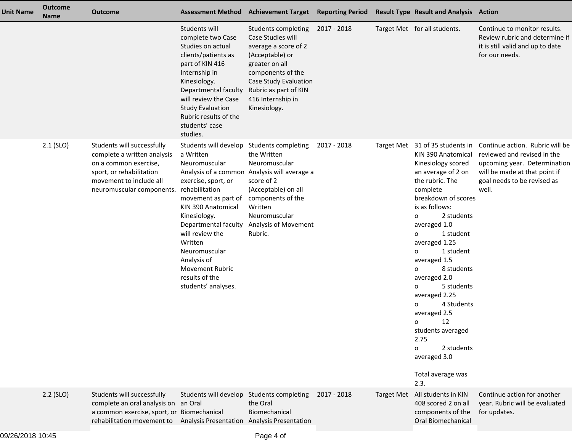| <b>Unit Name</b> | <b>Outcome</b><br><b>Name</b> | <b>Outcome</b>                                                                                                                                                                             | <b>Assessment Method</b>                                                                                                                                                                                                                                                                                                                                | <b>Achievement Target Reporting Period</b>                                                                                                                                                                        |             | <b>Result Type Result and Analysis Action</b>                                                                                                                                                                                                                                                                                                                                                                                                                                                                                    |                                                                                                                                                                         |
|------------------|-------------------------------|--------------------------------------------------------------------------------------------------------------------------------------------------------------------------------------------|---------------------------------------------------------------------------------------------------------------------------------------------------------------------------------------------------------------------------------------------------------------------------------------------------------------------------------------------------------|-------------------------------------------------------------------------------------------------------------------------------------------------------------------------------------------------------------------|-------------|----------------------------------------------------------------------------------------------------------------------------------------------------------------------------------------------------------------------------------------------------------------------------------------------------------------------------------------------------------------------------------------------------------------------------------------------------------------------------------------------------------------------------------|-------------------------------------------------------------------------------------------------------------------------------------------------------------------------|
|                  |                               |                                                                                                                                                                                            | Students will<br>complete two Case<br>Studies on actual<br>clients/patients as<br>part of KIN 416<br>Internship in<br>Kinesiology.<br>Departmental faculty<br>will review the Case<br><b>Study Evaluation</b><br>Rubric results of the<br>students' case<br>studies.                                                                                    | Students completing<br>Case Studies will<br>average a score of 2<br>(Acceptable) or<br>greater on all<br>components of the<br>Case Study Evaluation<br>Rubric as part of KIN<br>416 Internship in<br>Kinesiology. | 2017 - 2018 | Target Met for all students.                                                                                                                                                                                                                                                                                                                                                                                                                                                                                                     | Continue to monitor results.<br>Review rubric and determine if<br>it is still valid and up to date<br>for our needs.                                                    |
|                  | $2.1$ (SLO)                   | Students will successfully<br>complete a written analysis<br>on a common exercise,<br>sport, or rehabilitation<br>movement to include all<br>neuromuscular components.                     | Students will develop Students completing<br>a Written<br>Neuromuscular<br>Analysis of a common<br>exercise, sport, or<br>rehabilitation<br>movement as part of<br>KIN 390 Anatomical<br>Kinesiology.<br>Departmental faculty<br>will review the<br>Written<br>Neuromuscular<br>Analysis of<br>Movement Rubric<br>results of the<br>students' analyses. | the Written<br>Neuromuscular<br>Analysis will average a<br>score of 2<br>(Acceptable) on all<br>components of the<br>Written<br>Neuromuscular<br>Analysis of Movement<br>Rubric.                                  | 2017 - 2018 | Target Met 31 of 35 students in<br>KIN 390 Anatomical<br>Kinesiology scored<br>an average of 2 on<br>the rubric. The<br>complete<br>breakdown of scores<br>is as follows:<br>2 students<br>$\mathbf{o}$<br>averaged 1.0<br>1 student<br>o<br>averaged 1.25<br>1 student<br>$\mathbf{o}$<br>averaged 1.5<br>8 students<br>o<br>averaged 2.0<br>5 students<br>o<br>averaged 2.25<br>4 Students<br>O<br>averaged 2.5<br>12<br>o<br>students averaged<br>2.75<br>2 students<br>$\Omega$<br>averaged 3.0<br>Total average was<br>2.3. | Continue action. Rubric will be<br>reviewed and revised in the<br>upcoming year. Determination<br>will be made at that point if<br>goal needs to be revised as<br>well. |
|                  | $2.2$ (SLO)                   | Students will successfully<br>complete an oral analysis on an Oral<br>a common exercise, sport, or Biomechanical<br>rehabilitation movement to Analysis Presentation Analysis Presentation |                                                                                                                                                                                                                                                                                                                                                         | Students will develop Students completing<br>the Oral<br>Biomechanical                                                                                                                                            | 2017 - 2018 | Target Met All students in KIN<br>408 scored 2 on all<br>components of the<br>Oral Biomechanical                                                                                                                                                                                                                                                                                                                                                                                                                                 | Continue action for another<br>year. Rubric will be evaluated<br>for updates.                                                                                           |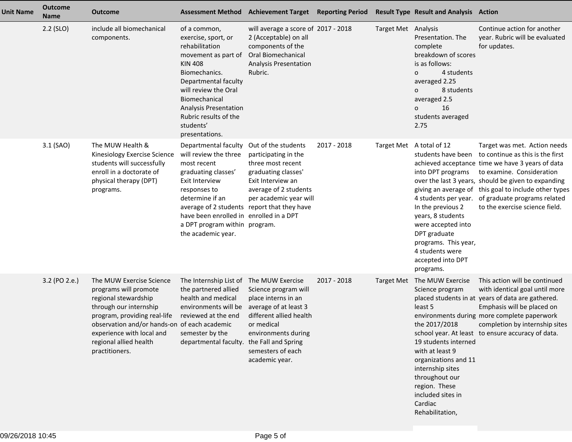| <b>Unit Name</b> | <b>Outcome</b><br><b>Name</b> | <b>Outcome</b>                                                                                                                                                                                                                                               | <b>Assessment Method</b>                                                                                                                                                                                                                                                   | <b>Achievement Target Reporting Period</b>                                                                                                                                                                             |             |                          | <b>Result Type Result and Analysis Action</b>                                                                                                                                                                                                |                                                                                                                                                                                                                                                                                                                                     |
|------------------|-------------------------------|--------------------------------------------------------------------------------------------------------------------------------------------------------------------------------------------------------------------------------------------------------------|----------------------------------------------------------------------------------------------------------------------------------------------------------------------------------------------------------------------------------------------------------------------------|------------------------------------------------------------------------------------------------------------------------------------------------------------------------------------------------------------------------|-------------|--------------------------|----------------------------------------------------------------------------------------------------------------------------------------------------------------------------------------------------------------------------------------------|-------------------------------------------------------------------------------------------------------------------------------------------------------------------------------------------------------------------------------------------------------------------------------------------------------------------------------------|
|                  | $2.2$ (SLO)                   | include all biomechanical<br>components.                                                                                                                                                                                                                     | of a common,<br>exercise, sport, or<br>rehabilitation<br>movement as part of<br><b>KIN 408</b><br>Biomechanics.<br>Departmental faculty<br>will review the Oral<br>Biomechanical<br>Analysis Presentation<br>Rubric results of the<br>students'<br>presentations.          | will average a score of 2017 - 2018<br>2 (Acceptable) on all<br>components of the<br><b>Oral Biomechanical</b><br>Analysis Presentation<br>Rubric.                                                                     |             | Target Met Analysis      | Presentation. The<br>complete<br>breakdown of scores<br>is as follows:<br>4 students<br>$\circ$<br>averaged 2.25<br>8 students<br>0<br>averaged 2.5<br>16<br>$\mathbf 0$<br>students averaged<br>2.75                                        | Continue action for another<br>year. Rubric will be evaluated<br>for updates.                                                                                                                                                                                                                                                       |
|                  | 3.1 (SAO)                     | The MUW Health &<br>Kinesiology Exercise Science<br>students will successfully<br>enroll in a doctorate of<br>physical therapy (DPT)<br>programs.                                                                                                            | Departmental faculty<br>will review the three<br>most recent<br>graduating classes'<br><b>Exit Interview</b><br>responses to<br>determine if an<br>average of 2 students<br>have been enrolled in enrolled in a DPT<br>a DPT program within program.<br>the academic year. | Out of the students<br>participating in the<br>three most recent<br>graduating classes'<br>Exit Interview an<br>average of 2 students<br>per academic year will<br>report that they have                               | 2017 - 2018 | Target Met A total of 12 | students have been<br>into DPT programs<br>4 students per year.<br>In the previous 2<br>years, 8 students<br>were accepted into<br>DPT graduate<br>programs. This year,<br>4 students were<br>accepted into DPT<br>programs.                 | Target was met. Action needs<br>to continue as this is the first<br>achieved acceptance time we have 3 years of data<br>to examine. Consideration<br>over the last 3 years, should be given to expanding<br>giving an average of this goal to include other types<br>of graduate programs related<br>to the exercise science field. |
|                  | 3.2 (PO 2.e.)                 | The MUW Exercise Science<br>programs will promote<br>regional stewardship<br>through our internship<br>program, providing real-life<br>observation and/or hands-on of each academic<br>experience with local and<br>regional allied health<br>practitioners. | The Internship List of<br>the partnered allied<br>health and medical<br>environments will be<br>reviewed at the end<br>semester by the<br>departmental faculty.                                                                                                            | The MUW Exercise<br>Science program will<br>place interns in an<br>average of at least 3<br>different allied health<br>or medical<br>environments during<br>the Fall and Spring<br>semesters of each<br>academic year. | 2017 - 2018 | Target Met               | The MUW Exercise<br>Science program<br>least 5<br>the 2017/2018<br>19 students interned<br>with at least 9<br>organizations and 11<br>internship sites<br>throughout our<br>region. These<br>included sites in<br>Cardiac<br>Rehabilitation, | This action will be continued<br>with identical goal until more<br>placed students in at years of data are gathered.<br>Emphasis will be placed on<br>environments during more complete paperwork<br>completion by internship sites<br>school year. At least to ensure accuracy of data.                                            |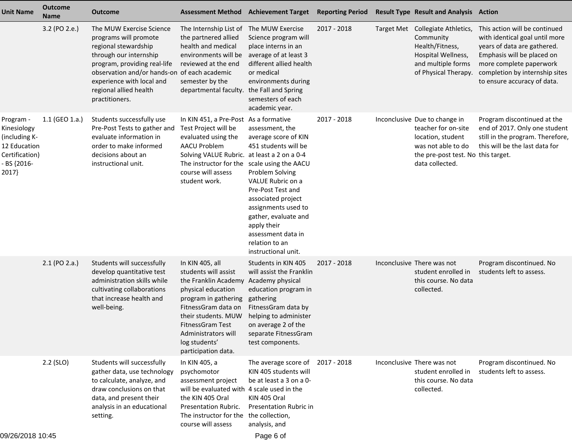| <b>Unit Name</b>                                                                                    | <b>Outcome</b><br><b>Name</b> | <b>Outcome</b>                                                                                                                                                                                                                                               | <b>Assessment Method</b>                                                                                                                                                                                                                         | <b>Achievement Target</b>                                                                                                                                                                                                                                                       | <b>Reporting Period</b> | <b>Result Type Result and Analysis Action</b>                                                                                                            |                                                                                                                                                                                                                          |
|-----------------------------------------------------------------------------------------------------|-------------------------------|--------------------------------------------------------------------------------------------------------------------------------------------------------------------------------------------------------------------------------------------------------------|--------------------------------------------------------------------------------------------------------------------------------------------------------------------------------------------------------------------------------------------------|---------------------------------------------------------------------------------------------------------------------------------------------------------------------------------------------------------------------------------------------------------------------------------|-------------------------|----------------------------------------------------------------------------------------------------------------------------------------------------------|--------------------------------------------------------------------------------------------------------------------------------------------------------------------------------------------------------------------------|
|                                                                                                     | 3.2 (PO 2.e.)                 | The MUW Exercise Science<br>programs will promote<br>regional stewardship<br>through our internship<br>program, providing real-life<br>observation and/or hands-on of each academic<br>experience with local and<br>regional allied health<br>practitioners. | The Internship List of<br>the partnered allied<br>health and medical<br>environments will be<br>reviewed at the end<br>semester by the<br>departmental faculty.                                                                                  | The MUW Exercise<br>Science program will<br>place interns in an<br>average of at least 3<br>different allied health<br>or medical<br>environments during<br>the Fall and Spring<br>semesters of each<br>academic year.                                                          | 2017 - 2018             | Target Met Collegiate Athletics,<br>Community<br>Health/Fitness,<br>Hospital Wellness,<br>and multiple forms<br>of Physical Therapy.                     | This action will be continued<br>with identical goal until more<br>years of data are gathered.<br>Emphasis will be placed on<br>more complete paperwork<br>completion by internship sites<br>to ensure accuracy of data. |
| Program -<br>Kinesiology<br>(including K-<br>12 Education<br>Certification)<br>- BS {2016-<br>2017} | 1.1 (GEO 1.a.)                | Students successfully use<br>Pre-Post Tests to gather and<br>evaluate information in<br>order to make informed<br>decisions about an<br>instructional unit.                                                                                                  | In KIN 451, a Pre-Post As a formative<br>Test Project will be<br>evaluated using the<br><b>AACU Problem</b><br>Solving VALUE Rubric. at least a 2 on a 0-4<br>The instructor for the scale using the AACU<br>course will assess<br>student work. | assessment, the<br>average score of KIN<br>451 students will be<br>Problem Solving<br>VALUE Rubric on a<br>Pre-Post Test and<br>associated project<br>assignments used to<br>gather, evaluate and<br>apply their<br>assessment data in<br>relation to an<br>instructional unit. | 2017 - 2018             | Inconclusive Due to change in<br>teacher for on-site<br>location, student<br>was not able to do<br>the pre-post test. No this target.<br>data collected. | Program discontinued at the<br>end of 2017. Only one student<br>still in the program. Therefore,<br>this will be the last data for                                                                                       |
|                                                                                                     | $2.1$ (PO 2.a.)               | Students will successfully<br>develop quantitative test<br>administration skills while<br>cultivating collaborations<br>that increase health and<br>well-being.                                                                                              | In KIN 405, all<br>students will assist<br>the Franklin Academy<br>physical education<br>program in gathering<br>FitnessGram data on<br>their students. MUW<br>FitnessGram Test<br>Administrators will<br>log students'<br>participation data.   | Students in KIN 405<br>will assist the Franklin<br>Academy physical<br>education program in<br>gathering<br>FitnessGram data by<br>helping to administer<br>on average 2 of the<br>separate FitnessGram<br>test components.                                                     | 2017 - 2018             | Inconclusive There was not<br>student enrolled in<br>this course. No data<br>collected.                                                                  | Program discontinued. No<br>students left to assess.                                                                                                                                                                     |
|                                                                                                     | $2.2$ (SLO)                   | Students will successfully<br>gather data, use technology<br>to calculate, analyze, and<br>draw conclusions on that<br>data, and present their<br>analysis in an educational<br>setting.                                                                     | In KIN 405, a<br>psychomotor<br>assessment project<br>will be evaluated with 4 scale used in the<br>the KIN 405 Oral<br>Presentation Rubric.<br>The instructor for the<br>course will assess                                                     | The average score of<br>KIN 405 students will<br>be at least a 3 on a 0-<br>KIN 405 Oral<br>Presentation Rubric in<br>the collection,<br>analysis, and                                                                                                                          | 2017 - 2018             | Inconclusive There was not<br>student enrolled in<br>this course. No data<br>collected.                                                                  | Program discontinued. No<br>students left to assess.                                                                                                                                                                     |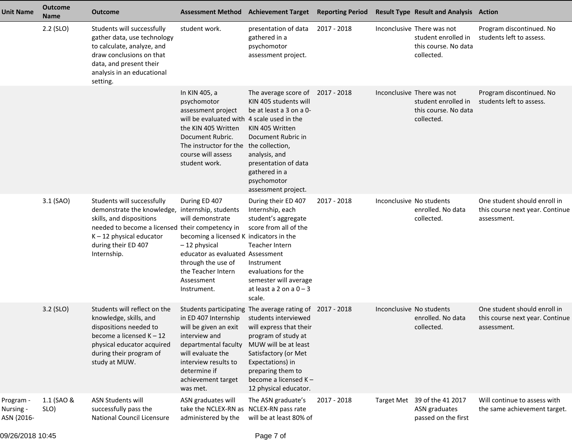| <b>Unit Name</b>                     | <b>Outcome</b><br><b>Name</b> | <b>Outcome</b>                                                                                                                                                                                              | <b>Assessment Method</b>                                                                                                                                                                                                           | <b>Achievement Target</b>                                                                                                                                                                                                            | <b>Reporting Period</b> | <b>Result Type Result and Analysis Action</b>                                           |                                                                                |
|--------------------------------------|-------------------------------|-------------------------------------------------------------------------------------------------------------------------------------------------------------------------------------------------------------|------------------------------------------------------------------------------------------------------------------------------------------------------------------------------------------------------------------------------------|--------------------------------------------------------------------------------------------------------------------------------------------------------------------------------------------------------------------------------------|-------------------------|-----------------------------------------------------------------------------------------|--------------------------------------------------------------------------------|
|                                      | $2.2$ (SLO)                   | Students will successfully<br>gather data, use technology<br>to calculate, analyze, and<br>draw conclusions on that<br>data, and present their<br>analysis in an educational<br>setting.                    | student work.                                                                                                                                                                                                                      | presentation of data<br>gathered in a<br>psychomotor<br>assessment project.                                                                                                                                                          | 2017 - 2018             | Inconclusive There was not<br>student enrolled in<br>this course. No data<br>collected. | Program discontinued. No<br>students left to assess.                           |
|                                      |                               |                                                                                                                                                                                                             | In KIN 405, a<br>psychomotor<br>assessment project<br>will be evaluated with 4 scale used in the<br>the KIN 405 Written<br>Document Rubric.<br>The instructor for the<br>course will assess<br>student work.                       | The average score of<br>KIN 405 students will<br>be at least a 3 on a 0-<br>KIN 405 Written<br>Document Rubric in<br>the collection,<br>analysis, and<br>presentation of data<br>gathered in a<br>psychomotor<br>assessment project. | 2017 - 2018             | Inconclusive There was not<br>student enrolled in<br>this course. No data<br>collected. | Program discontinued. No<br>students left to assess.                           |
|                                      | 3.1 (SAO)                     | Students will successfully<br>demonstrate the knowledge,<br>skills, and dispositions<br>needed to become a licensed their competency in<br>$K - 12$ physical educator<br>during their ED 407<br>Internship. | During ED 407<br>internship, students<br>will demonstrate<br>becoming a licensed K indicators in the<br>-12 physical<br>educator as evaluated Assessment<br>through the use of<br>the Teacher Intern<br>Assessment<br>Instrument.  | During their ED 407<br>Internship, each<br>student's aggregate<br>score from all of the<br>Teacher Intern<br>Instrument<br>evaluations for the<br>semester will average<br>at least a 2 on a $0 - 3$<br>scale.                       | 2017 - 2018             | Inconclusive No students<br>enrolled. No data<br>collected.                             | One student should enroll in<br>this course next year. Continue<br>assessment. |
|                                      | 3.2 (SLO)                     | Students will reflect on the<br>knowledge, skills, and<br>dispositions needed to<br>become a licensed $K - 12$<br>physical educator acquired<br>during their program of<br>study at MUW.                    | in ED 407 Internship students interviewed<br>will be given an exit will express that their<br>interview and<br>departmental faculty<br>will evaluate the<br>interview results to<br>determine if<br>achievement target<br>was met. | Students participating The average rating of 2017 - 2018<br>program of study at<br>MUW will be at least<br>Satisfactory (or Met<br>Expectations) in<br>preparing them to<br>become a licensed K-<br>12 physical educator.            |                         | Inconclusive No students<br>enrolled. No data<br>collected.                             | One student should enroll in<br>this course next year. Continue<br>assessment. |
| Program -<br>Nursing -<br>ASN {2016- | 1.1 (SAO &<br>SLO)            | <b>ASN Students will</b><br>successfully pass the<br>National Council Licensure                                                                                                                             | ASN graduates will<br>take the NCLEX-RN as NCLEX-RN pass rate<br>administered by the                                                                                                                                               | The ASN graduate's<br>will be at least 80% of                                                                                                                                                                                        | 2017 - 2018             | Target Met 39 of the 41 2017<br>ASN graduates<br>passed on the first                    | Will continue to assess with<br>the same achievement target.                   |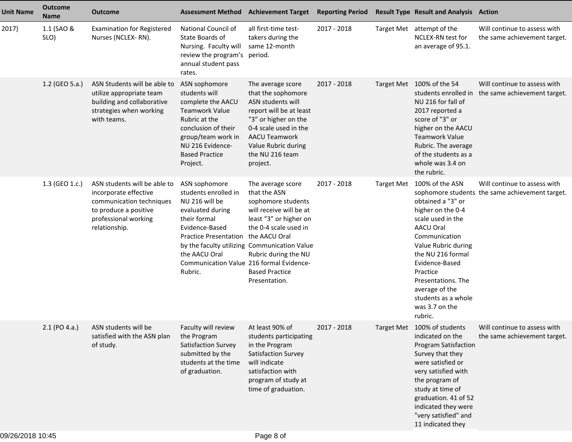| <b>Unit Name</b> | <b>Outcome</b><br><b>Name</b> | <b>Outcome</b>                                                                                                                                      |                                                                                                                                                                                                                       | <b>Assessment Method Achievement Target</b>                                                                                                                                                                                                                              | <b>Reporting Period</b> |                   | <b>Result Type Result and Analysis Action</b>                                                                                                                                                                                                                                             |                                                                                 |
|------------------|-------------------------------|-----------------------------------------------------------------------------------------------------------------------------------------------------|-----------------------------------------------------------------------------------------------------------------------------------------------------------------------------------------------------------------------|--------------------------------------------------------------------------------------------------------------------------------------------------------------------------------------------------------------------------------------------------------------------------|-------------------------|-------------------|-------------------------------------------------------------------------------------------------------------------------------------------------------------------------------------------------------------------------------------------------------------------------------------------|---------------------------------------------------------------------------------|
| 2017}            | 1.1 (SAO &<br>SLO)            | <b>Examination for Registered</b><br>Nurses (NCLEX-RN).                                                                                             | National Council of<br>State Boards of<br>Nursing. Faculty will<br>review the program's period.<br>annual student pass<br>rates.                                                                                      | all first-time test-<br>takers during the<br>same 12-month                                                                                                                                                                                                               | 2017 - 2018             |                   | Target Met attempt of the<br>NCLEX-RN test for<br>an average of 95.1.                                                                                                                                                                                                                     | Will continue to assess with<br>the same achievement target.                    |
|                  | 1.2 (GEO 5.a.)                | ASN Students will be able to<br>utilize appropriate team<br>building and collaborative<br>strategies when working<br>with teams.                    | ASN sophomore<br>students will<br>complete the AACU<br><b>Teamwork Value</b><br>Rubric at the<br>conclusion of their<br>group/team work in<br>NU 216 Evidence-<br><b>Based Practice</b><br>Project.                   | The average score<br>that the sophomore<br>ASN students will<br>report will be at least<br>"3" or higher on the<br>0-4 scale used in the<br><b>AACU Teamwork</b><br>Value Rubric during<br>the NU 216 team<br>project.                                                   | 2017 - 2018             |                   | Target Met 100% of the 54<br>students enrolled in<br>NU 216 for fall of<br>2017 reported a<br>score of "3" or<br>higher on the AACU<br><b>Teamwork Value</b><br>Rubric. The average<br>of the students as a<br>whole was 3.4 on<br>the rubric.                                            | Will continue to assess with<br>the same achievement target.                    |
|                  | 1.3 (GEO 1.c.)                | ASN students will be able to<br>incorporate effective<br>communication techniques<br>to produce a positive<br>professional working<br>relationship. | ASN sophomore<br>students enrolled in<br>NU 216 will be<br>evaluated during<br>their formal<br>Evidence-Based<br><b>Practice Presentation</b><br>the AACU Oral<br>Communication Value 216 formal Evidence-<br>Rubric. | The average score<br>that the ASN<br>sophomore students<br>will receive will be at<br>least "3" or higher on<br>the 0-4 scale used in<br>the AACU Oral<br>by the faculty utilizing Communication Value<br>Rubric during the NU<br><b>Based Practice</b><br>Presentation. | 2017 - 2018             | <b>Target Met</b> | 100% of the ASN<br>obtained a "3" or<br>higher on the 0-4<br>scale used in the<br><b>AACU Oral</b><br>Communication<br>Value Rubric during<br>the NU 216 formal<br>Evidence-Based<br>Practice<br>Presentations. The<br>average of the<br>students as a whole<br>was 3.7 on the<br>rubric. | Will continue to assess with<br>sophomore students the same achievement target. |
|                  | $2.1$ (PO 4.a.)               | ASN students will be<br>satisfied with the ASN plan<br>of study.                                                                                    | Faculty will review<br>the Program<br>Satisfaction Survey<br>submitted by the<br>students at the time<br>of graduation.                                                                                               | At least 90% of<br>students participating<br>in the Program<br>Satisfaction Survey<br>will indicate<br>satisfaction with<br>program of study at<br>time of graduation.                                                                                                   | 2017 - 2018             |                   | Target Met 100% of students<br>indicated on the<br><b>Program Satisfaction</b><br>Survey that they<br>were satisfied or<br>very satisfied with<br>the program of<br>study at time of<br>graduation. 41 of 52<br>indicated they were<br>"very satisfied" and<br>11 indicated they          | Will continue to assess with<br>the same achievement target.                    |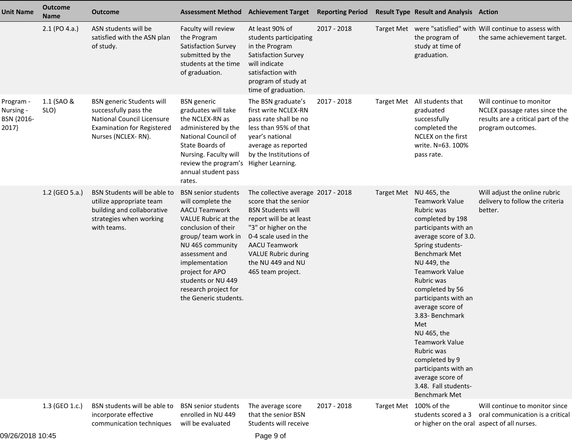| <b>Unit Name</b>                              | <b>Outcome</b><br><b>Name</b> | <b>Outcome</b>                                                                                                                                            |                                                                                                                                                                                                                                                                                                | <b>Assessment Method Achievement Target</b>                                                                                                                                                                                                                         | <b>Reporting Period</b> |                   | <b>Result Type Result and Analysis Action</b>                                                                                                                                                                                                                                                                                                                                                                                                                                                     |                                                                                                                      |
|-----------------------------------------------|-------------------------------|-----------------------------------------------------------------------------------------------------------------------------------------------------------|------------------------------------------------------------------------------------------------------------------------------------------------------------------------------------------------------------------------------------------------------------------------------------------------|---------------------------------------------------------------------------------------------------------------------------------------------------------------------------------------------------------------------------------------------------------------------|-------------------------|-------------------|---------------------------------------------------------------------------------------------------------------------------------------------------------------------------------------------------------------------------------------------------------------------------------------------------------------------------------------------------------------------------------------------------------------------------------------------------------------------------------------------------|----------------------------------------------------------------------------------------------------------------------|
|                                               | 2.1 (PO 4.a.)                 | ASN students will be<br>satisfied with the ASN plan<br>of study.                                                                                          | Faculty will review<br>the Program<br>Satisfaction Survey<br>submitted by the<br>students at the time<br>of graduation.                                                                                                                                                                        | At least 90% of<br>students participating<br>in the Program<br>Satisfaction Survey<br>will indicate<br>satisfaction with<br>program of study at<br>time of graduation.                                                                                              | 2017 - 2018             |                   | the program of<br>study at time of<br>graduation.                                                                                                                                                                                                                                                                                                                                                                                                                                                 | Target Met were "satisfied" with Will continue to assess with<br>the same achievement target.                        |
| Program -<br>Nursing -<br>BSN {2016-<br>2017} | 1.1 (SAO &<br>SLO)            | <b>BSN</b> generic Students will<br>successfully pass the<br><b>National Council Licensure</b><br><b>Examination for Registered</b><br>Nurses (NCLEX-RN). | <b>BSN</b> generic<br>graduates will take<br>the NCLEX-RN as<br>administered by the<br>National Council of<br>State Boards of<br>Nursing. Faculty will<br>review the program's Higher Learning.<br>annual student pass<br>rates.                                                               | The BSN graduate's<br>first write NCLEX-RN<br>pass rate shall be no<br>less than 95% of that<br>year's national<br>average as reported<br>by the Institutions of                                                                                                    | 2017 - 2018             | <b>Target Met</b> | All students that<br>graduated<br>successfully<br>completed the<br>NCLEX on the first<br>write. N=63. 100%<br>pass rate.                                                                                                                                                                                                                                                                                                                                                                          | Will continue to monitor<br>NCLEX passage rates since the<br>results are a critical part of the<br>program outcomes. |
|                                               | 1.2 (GEO 5.a.)                | BSN Students will be able to<br>utilize appropriate team<br>building and collaborative<br>strategies when working<br>with teams.                          | <b>BSN</b> senior students<br>will complete the<br><b>AACU Teamwork</b><br>VALUE Rubric at the<br>conclusion of their<br>group/ team work in<br>NU 465 community<br>assessment and<br>implementation<br>project for APO<br>students or NU 449<br>research project for<br>the Generic students. | The collective average 2017 - 2018<br>score that the senior<br><b>BSN Students will</b><br>report will be at least<br>"3" or higher on the<br>0-4 scale used in the<br><b>AACU Teamwork</b><br><b>VALUE Rubric during</b><br>the NU 449 and NU<br>465 team project. |                         |                   | Target Met NU 465, the<br><b>Teamwork Value</b><br>Rubric was<br>completed by 198<br>participants with an<br>average score of 3.0.<br>Spring students-<br><b>Benchmark Met</b><br>NU 449, the<br><b>Teamwork Value</b><br>Rubric was<br>completed by 56<br>participants with an<br>average score of<br>3.83- Benchmark<br>Met<br>NU 465, the<br><b>Teamwork Value</b><br>Rubric was<br>completed by 9<br>participants with an<br>average score of<br>3.48. Fall students-<br><b>Benchmark Met</b> | Will adjust the online rubric<br>delivery to follow the criteria<br>better.                                          |
|                                               | 1.3 (GEO 1.c.)                | BSN students will be able to<br>incorporate effective<br>communication techniques                                                                         | <b>BSN</b> senior students<br>enrolled in NU 449<br>will be evaluated                                                                                                                                                                                                                          | The average score<br>that the senior BSN<br>Students will receive                                                                                                                                                                                                   | 2017 - 2018             |                   | Target Met 100% of the<br>students scored a 3<br>or higher on the oral aspect of all nurses.                                                                                                                                                                                                                                                                                                                                                                                                      | Will continue to monitor since<br>oral communication is a critical                                                   |

09/26/2018 10:45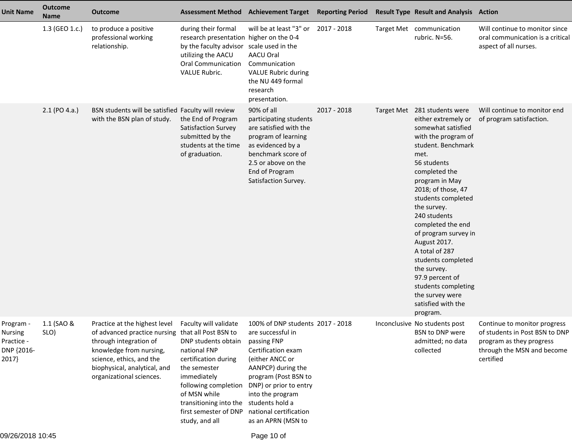| <b>Unit Name</b>                                                 | <b>Outcome</b><br><b>Name</b> | <b>Outcome</b>                                                                                                                                                                                                                  | <b>Assessment Method</b>                                                                                                                                                                                                         | <b>Achievement Target Reporting Period</b>                                                                                                                                                                                                                                   |             | <b>Result Type Result and Analysis Action</b>                                                                                                                                                                                                                                                                                                                                                                                                                                  |                                                                                                                                       |
|------------------------------------------------------------------|-------------------------------|---------------------------------------------------------------------------------------------------------------------------------------------------------------------------------------------------------------------------------|----------------------------------------------------------------------------------------------------------------------------------------------------------------------------------------------------------------------------------|------------------------------------------------------------------------------------------------------------------------------------------------------------------------------------------------------------------------------------------------------------------------------|-------------|--------------------------------------------------------------------------------------------------------------------------------------------------------------------------------------------------------------------------------------------------------------------------------------------------------------------------------------------------------------------------------------------------------------------------------------------------------------------------------|---------------------------------------------------------------------------------------------------------------------------------------|
|                                                                  | 1.3 (GEO 1.c.)                | to produce a positive<br>professional working<br>relationship.                                                                                                                                                                  | during their formal<br>research presentation higher on the 0-4<br>by the faculty advisor<br>utilizing the AACU<br><b>Oral Communication</b><br><b>VALUE Rubric.</b>                                                              | will be at least "3" or 2017 - 2018<br>scale used in the<br>AACU Oral<br>Communication<br><b>VALUE Rubric during</b><br>the NU 449 formal<br>research<br>presentation.                                                                                                       |             | Target Met communication<br>rubric. N=56.                                                                                                                                                                                                                                                                                                                                                                                                                                      | Will continue to monitor since<br>oral communication is a critical<br>aspect of all nurses.                                           |
|                                                                  | $2.1$ (PO 4.a.)               | BSN students will be satisfied Faculty will review<br>with the BSN plan of study.                                                                                                                                               | the End of Program<br>Satisfaction Survey<br>submitted by the<br>students at the time<br>of graduation.                                                                                                                          | 90% of all<br>participating students<br>are satisfied with the<br>program of learning<br>as evidenced by a<br>benchmark score of<br>2.5 or above on the<br>End of Program<br>Satisfaction Survey.                                                                            | 2017 - 2018 | Target Met 281 students were<br>either extremely or<br>somewhat satisfied<br>with the program of<br>student. Benchmark<br>met.<br>56 students<br>completed the<br>program in May<br>2018; of those, 47<br>students completed<br>the survey.<br>240 students<br>completed the end<br>of program survey in<br>August 2017.<br>A total of 287<br>students completed<br>the survey.<br>97.9 percent of<br>students completing<br>the survey were<br>satisfied with the<br>program. | Will continue to monitor end<br>of program satisfaction.                                                                              |
| Program -<br><b>Nursing</b><br>Practice -<br>DNP {2016-<br>2017} | 1.1 (SAO &<br>SLO)            | Practice at the highest level<br>of advanced practice nursing that all Post BSN to<br>through integration of<br>knowledge from nursing,<br>science, ethics, and the<br>biophysical, analytical, and<br>organizational sciences. | Faculty will validate<br>DNP students obtain<br>national FNP<br>certification during<br>the semester<br>immediately<br>following completion<br>of MSN while<br>transitioning into the<br>first semester of DNP<br>study, and all | 100% of DNP students 2017 - 2018<br>are successful in<br>passing FNP<br>Certification exam<br>(either ANCC or<br>AANPCP) during the<br>program (Post BSN to<br>DNP) or prior to entry<br>into the program<br>students hold a<br>national certification<br>as an APRN (MSN to |             | Inconclusive No students post<br>BSN to DNP were<br>admitted; no data<br>collected                                                                                                                                                                                                                                                                                                                                                                                             | Continue to monitor progress<br>of students in Post BSN to DNP<br>program as they progress<br>through the MSN and become<br>certified |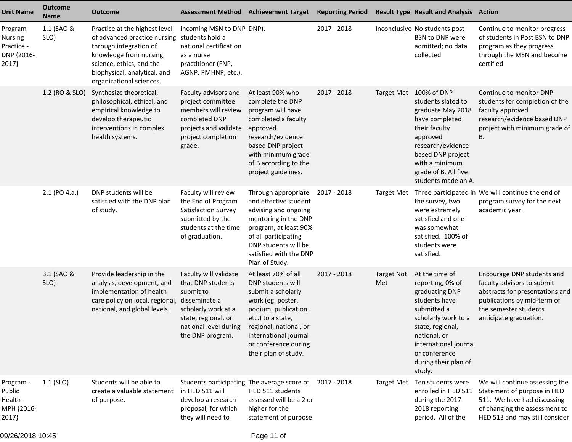| <b>Unit Name</b>                                          | <b>Outcome</b><br><b>Name</b> | <b>Outcome</b>                                                                                                                                                                                             | <b>Assessment Method Achievement Target</b>                                                                                                        |                                                                                                                                                                                                                                     | <b>Reporting Period</b> |                   | <b>Result Type Result and Analysis Action</b>                                                                                                                                                                               |                                                                                                                                                                               |
|-----------------------------------------------------------|-------------------------------|------------------------------------------------------------------------------------------------------------------------------------------------------------------------------------------------------------|----------------------------------------------------------------------------------------------------------------------------------------------------|-------------------------------------------------------------------------------------------------------------------------------------------------------------------------------------------------------------------------------------|-------------------------|-------------------|-----------------------------------------------------------------------------------------------------------------------------------------------------------------------------------------------------------------------------|-------------------------------------------------------------------------------------------------------------------------------------------------------------------------------|
| Program -<br>Nursing<br>Practice -<br>DNP {2016-<br>2017} | 1.1 (SAO &<br>SLO)            | Practice at the highest level<br>of advanced practice nursing<br>through integration of<br>knowledge from nursing,<br>science, ethics, and the<br>biophysical, analytical, and<br>organizational sciences. | incoming MSN to DNP DNP).<br>students hold a<br>national certification<br>as a nurse<br>practitioner (FNP,<br>AGNP, PMHNP, etc.).                  |                                                                                                                                                                                                                                     | 2017 - 2018             |                   | Inconclusive No students post<br>BSN to DNP were<br>admitted; no data<br>collected                                                                                                                                          | Continue to monitor progress<br>of students in Post BSN to DNP<br>program as they progress<br>through the MSN and become<br>certified                                         |
|                                                           | 1.2 (RO & SLO)                | Synthesize theoretical,<br>philosophical, ethical, and<br>empirical knowledge to<br>develop therapeutic<br>interventions in complex<br>health systems.                                                     | Faculty advisors and<br>project committee<br>members will review<br>completed DNP<br>projects and validate<br>project completion<br>grade.         | At least 90% who<br>complete the DNP<br>program will have<br>completed a faculty<br>approved<br>research/evidence<br>based DNP project<br>with minimum grade<br>of B according to the<br>project guidelines.                        | 2017 - 2018             |                   | Target Met 100% of DNP<br>students slated to<br>graduate May 2018<br>have completed<br>their faculty<br>approved<br>research/evidence<br>based DNP project<br>with a minimum<br>grade of B. All five<br>students made an A. | Continue to monitor DNP<br>students for completion of the<br>faculty approved<br>research/evidence based DNP<br>project with minimum grade of<br>B.                           |
|                                                           | 2.1 (PO 4.a.)                 | DNP students will be<br>satisfied with the DNP plan<br>of study.                                                                                                                                           | Faculty will review<br>the End of Program<br>Satisfaction Survey<br>submitted by the<br>students at the time<br>of graduation.                     | Through appropriate<br>and effective student<br>advising and ongoing<br>mentoring in the DNP<br>program, at least 90%<br>of all participating<br>DNP students will be<br>satisfied with the DNP<br>Plan of Study.                   | 2017 - 2018             | <b>Target Met</b> | the survey, two<br>were extremely<br>satisfied and one<br>was somewhat<br>satisfied. 100% of<br>students were<br>satisfied.                                                                                                 | Three participated in We will continue the end of<br>program survey for the next<br>academic year.                                                                            |
|                                                           | 3.1 (SAO &<br>SLO)            | Provide leadership in the<br>analysis, development, and<br>implementation of health<br>care policy on local, regional, disseminate a<br>national, and global levels.                                       | Faculty will validate<br>that DNP students<br>submit to<br>scholarly work at a<br>state, regional, or<br>national level during<br>the DNP program. | At least 70% of all<br>DNP students will<br>submit a scholarly<br>work (eg. poster,<br>podium, publication,<br>etc.) to a state,<br>regional, national, or<br>international journal<br>or conference during<br>their plan of study. | 2017 - 2018             | Target Not<br>Met | At the time of<br>reporting, 0% of<br>graduating DNP<br>students have<br>submitted a<br>scholarly work to a<br>state, regional,<br>national, or<br>international journal<br>or conference<br>during their plan of<br>study. | Encourage DNP students and<br>faculty advisors to submit<br>abstracts for presentations and<br>publications by mid-term of<br>the semester students<br>anticipate graduation. |
| Program -<br>Public<br>Health -<br>MPH {2016-<br>2017}    | $1.1$ (SLO)                   | Students will be able to<br>create a valuable statement<br>of purpose.                                                                                                                                     | Students participating<br>in HED 511 will<br>develop a research<br>proposal, for which<br>they will need to                                        | The average score of<br>HED 511 students<br>assessed will be a 2 or<br>higher for the<br>statement of purpose                                                                                                                       | 2017 - 2018             | <b>Target Met</b> | Ten students were<br>enrolled in HED 511<br>during the 2017-<br>2018 reporting<br>period. All of the                                                                                                                        | We will continue assessing the<br>Statement of purpose in HED<br>511. We have had discussing<br>of changing the assessment to<br>HED 513 and may still consider               |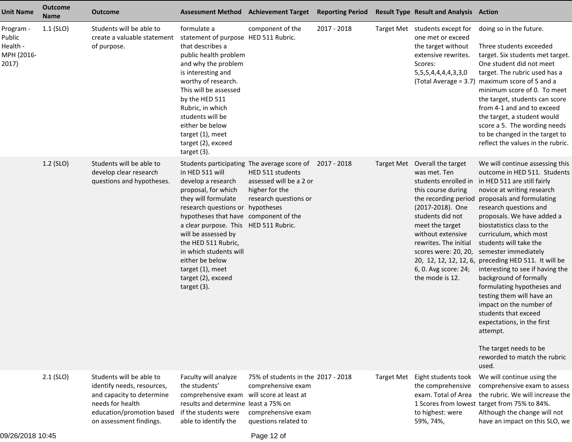| <b>Unit Name</b>                                       | <b>Outcome</b><br><b>Name</b> | <b>Outcome</b>                                                                                                                                                  | <b>Assessment Method</b>                                                                                                                                                                                                                                                                                                                           | <b>Achievement Target</b>                                                                                                                                       | <b>Reporting Period</b> | <b>Result Type Result and Analysis Action</b>                                                                                                                                                                                                                                                   |                                                                                                                                                                                                                                                                                                                                                                                                                                                                                                                                                                                                                                                                              |
|--------------------------------------------------------|-------------------------------|-----------------------------------------------------------------------------------------------------------------------------------------------------------------|----------------------------------------------------------------------------------------------------------------------------------------------------------------------------------------------------------------------------------------------------------------------------------------------------------------------------------------------------|-----------------------------------------------------------------------------------------------------------------------------------------------------------------|-------------------------|-------------------------------------------------------------------------------------------------------------------------------------------------------------------------------------------------------------------------------------------------------------------------------------------------|------------------------------------------------------------------------------------------------------------------------------------------------------------------------------------------------------------------------------------------------------------------------------------------------------------------------------------------------------------------------------------------------------------------------------------------------------------------------------------------------------------------------------------------------------------------------------------------------------------------------------------------------------------------------------|
| Program -<br>Public<br>Health -<br>MPH {2016-<br>2017} | $1.1$ (SLO)                   | Students will be able to<br>create a valuable statement<br>of purpose.                                                                                          | formulate a<br>statement of purpose HED 511 Rubric.<br>that describes a<br>public health problem<br>and why the problem<br>is interesting and<br>worthy of research.<br>This will be assessed<br>by the HED 511<br>Rubric, in which<br>students will be<br>either be below<br>target (1), meet<br>target (2), exceed<br>target (3).                | component of the                                                                                                                                                | 2017 - 2018             | Target Met students except for<br>one met or exceed<br>the target without<br>extensive rewrites.<br>Scores:<br>5, 5, 5, 4, 4, 4, 4, 3, 3, 0<br>(Total Average = 3.7)                                                                                                                            | doing so in the future.<br>Three students exceeded<br>target. Six students met target.<br>One student did not meet<br>target. The rubric used has a<br>maximum score of 5 and a<br>minimum score of 0. To meet<br>the target, students can score<br>from 4-1 and and to exceed<br>the target, a student would<br>score a 5. The wording needs<br>to be changed in the target to<br>reflect the values in the rubric.                                                                                                                                                                                                                                                         |
|                                                        | 1.2 (SLO)                     | Students will be able to<br>develop clear research<br>questions and hypotheses.                                                                                 | in HED 511 will<br>develop a research<br>proposal, for which<br>they will formulate<br>research questions or<br>hypotheses that have component of the<br>a clear purpose. This HED 511 Rubric.<br>will be assessed by<br>the HED 511 Rubric,<br>in which students will<br>either be below<br>target (1), meet<br>target (2), exceed<br>target (3). | Students participating The average score of 2017 - 2018<br>HED 511 students<br>assessed will be a 2 or<br>higher for the<br>research questions or<br>hypotheses |                         | Target Met Overall the target<br>was met. Ten<br>students enrolled in<br>this course during<br>the recording period<br>(2017-2018). One<br>students did not<br>meet the target<br>without extensive<br>rewrites. The initial<br>scores were: 20, 20,<br>6, 0. Avg score: 24;<br>the mode is 12. | We will continue assessing this<br>outcome in HED 511. Students<br>in HED 511 are still fairly<br>novice at writing research<br>proposals and formulating<br>research questions and<br>proposals. We have added a<br>biostatistics class to the<br>curriculum, which most<br>students will take the<br>semester immediately<br>20, 12, 12, 12, 12, 6, preceding HED 511. It will be<br>interesting to see if having the<br>background of formally<br>formulating hypotheses and<br>testing them will have an<br>impact on the number of<br>students that exceed<br>expectations, in the first<br>attempt.<br>The target needs to be<br>reworded to match the rubric<br>used. |
|                                                        | $2.1$ (SLO)                   | Students will be able to<br>identify needs, resources,<br>and capacity to determine<br>needs for health<br>education/promotion based<br>on assessment findings. | Faculty will analyze<br>the students'<br>comprehensive exam will score at least at<br>results and determine least a 75% on<br>if the students were<br>able to identify the                                                                                                                                                                         | 75% of students in the 2017 - 2018<br>comprehensive exam<br>comprehensive exam<br>questions related to                                                          |                         | Target Met Eight students took<br>the comprehensive<br>exam. Total of Area<br>to highest: were<br>59%, 74%,                                                                                                                                                                                     | We will continue using the<br>comprehensive exam to assess<br>the rubric. We will increase the<br>1 Scores from lowest target from 75% to 84%.<br>Although the change will not<br>have an impact on this SLO, we                                                                                                                                                                                                                                                                                                                                                                                                                                                             |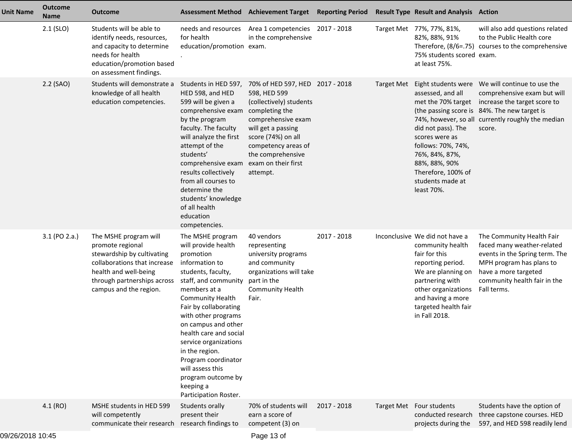| <b>Unit Name</b> | <b>Outcome</b><br><b>Name</b> | <b>Outcome</b>                                                                                                                                                                            | <b>Assessment Method</b>                                                                                                                                                                                                                                                                                                                                                                                           | <b>Achievement Target Reporting Period</b>                                                                                                                                                                                                    |             |                   | <b>Result Type Result and Analysis Action</b>                                                                                                                                                                          |                                                                                                                                                                                              |
|------------------|-------------------------------|-------------------------------------------------------------------------------------------------------------------------------------------------------------------------------------------|--------------------------------------------------------------------------------------------------------------------------------------------------------------------------------------------------------------------------------------------------------------------------------------------------------------------------------------------------------------------------------------------------------------------|-----------------------------------------------------------------------------------------------------------------------------------------------------------------------------------------------------------------------------------------------|-------------|-------------------|------------------------------------------------------------------------------------------------------------------------------------------------------------------------------------------------------------------------|----------------------------------------------------------------------------------------------------------------------------------------------------------------------------------------------|
|                  | 2.1 (SLO)                     | Students will be able to<br>identify needs, resources,<br>and capacity to determine<br>needs for health<br>education/promotion based<br>on assessment findings.                           | needs and resources<br>for health<br>education/promotion exam.                                                                                                                                                                                                                                                                                                                                                     | Area 1 competencies 2017 - 2018<br>in the comprehensive                                                                                                                                                                                       |             |                   | Target Met 77%, 77%, 81%,<br>82%, 88%, 91%<br>Therefore, (8/6=.75)<br>75% students scored exam.<br>at least 75%.                                                                                                       | will also add questions related<br>to the Public Health core<br>courses to the comprehensive                                                                                                 |
|                  | 2.2 (SAO)                     | Students will demonstrate a<br>knowledge of all health<br>education competencies.                                                                                                         | Students in HED 597,<br>HED 598, and HED<br>599 will be given a<br>comprehensive exam<br>by the program<br>faculty. The faculty<br>will analyze the first<br>attempt of the<br>students'<br>comprehensive exam<br>results collectively<br>from all courses to<br>determine the<br>students' knowledge<br>of all health<br>education<br>competencies.                                                               | 70% of HED 597, HED 2017 - 2018<br>598, HED 599<br>(collectively) students<br>completing the<br>comprehensive exam<br>will get a passing<br>score (74%) on all<br>competency areas of<br>the comprehensive<br>exam on their first<br>attempt. |             | <b>Target Met</b> | assessed, and all<br>met the 70% target<br>did not pass). The<br>scores were as<br>follows: 70%, 74%,<br>76%, 84%, 87%,<br>88%, 88%, 90%<br>Therefore, 100% of<br>students made at<br>least 70%.                       | comprehensive exam but will<br>increase the target score to<br>(the passing score is 84%. The new target is<br>74%, however, so all currently roughly the median<br>score.                   |
|                  | 3.1 (PO 2.a.)                 | The MSHE program will<br>promote regional<br>stewardship by cultivating<br>collaborations that increase<br>health and well-being<br>through partnerships across<br>campus and the region. | The MSHE program<br>will provide health<br>promotion<br>information to<br>students, faculty,<br>staff, and community<br>members at a<br><b>Community Health</b><br>Fair by collaborating<br>with other programs<br>on campus and other<br>health care and social<br>service organizations<br>in the region.<br>Program coordinator<br>will assess this<br>program outcome by<br>keeping a<br>Participation Roster. | 40 vendors<br>representing<br>university programs<br>and community<br>organizations will take<br>part in the<br>Community Health<br>Fair.                                                                                                     | 2017 - 2018 |                   | Inconclusive We did not have a<br>community health<br>fair for this<br>reporting period.<br>We are planning on<br>partnering with<br>other organizations<br>and having a more<br>targeted health fair<br>in Fall 2018. | The Community Health Fair<br>faced many weather-related<br>events in the Spring term. The<br>MPH program has plans to<br>have a more targeted<br>community health fair in the<br>Fall terms. |
|                  | 4.1(RO)                       | MSHE students in HED 599<br>will competently<br>communicate their research                                                                                                                | Students orally<br>present their<br>research findings to                                                                                                                                                                                                                                                                                                                                                           | 70% of students will<br>earn a score of<br>competent (3) on                                                                                                                                                                                   | 2017 - 2018 |                   | Target Met Four students<br>conducted research<br>projects during the                                                                                                                                                  | Students have the option of<br>three capstone courses. HED<br>597, and HED 598 readily lend                                                                                                  |
|                  |                               |                                                                                                                                                                                           |                                                                                                                                                                                                                                                                                                                                                                                                                    |                                                                                                                                                                                                                                               |             |                   |                                                                                                                                                                                                                        |                                                                                                                                                                                              |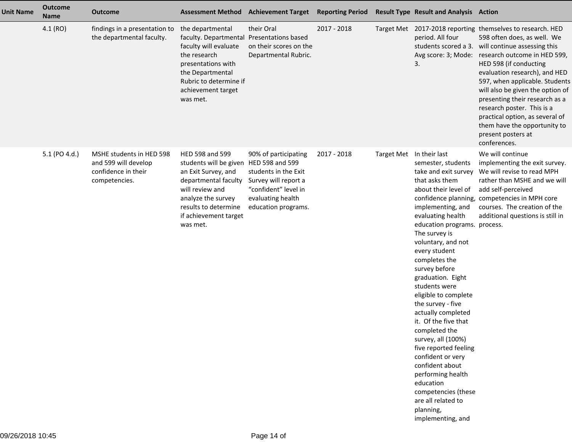| <b>Unit Name</b> | <b>Outcome</b><br><b>Name</b> | <b>Outcome</b>                                                                           | <b>Assessment Method</b>                                                                                                                                                                                       | <b>Achievement Target</b>                                                                                                                | <b>Reporting Period</b> |                          | <b>Result Type Result and Analysis Action</b>                                                                                                                                                                                                                                                                                                                                                                                                                                                                                                                                                                      |                                                                                                                                                                                                                                                                                                                                                                                                                                                                                                              |
|------------------|-------------------------------|------------------------------------------------------------------------------------------|----------------------------------------------------------------------------------------------------------------------------------------------------------------------------------------------------------------|------------------------------------------------------------------------------------------------------------------------------------------|-------------------------|--------------------------|--------------------------------------------------------------------------------------------------------------------------------------------------------------------------------------------------------------------------------------------------------------------------------------------------------------------------------------------------------------------------------------------------------------------------------------------------------------------------------------------------------------------------------------------------------------------------------------------------------------------|--------------------------------------------------------------------------------------------------------------------------------------------------------------------------------------------------------------------------------------------------------------------------------------------------------------------------------------------------------------------------------------------------------------------------------------------------------------------------------------------------------------|
|                  | 4.1(RO)                       | findings in a presentation to<br>the departmental faculty.                               | the departmental<br>faculty. Departmental Presentations based<br>faculty will evaluate<br>the research<br>presentations with<br>the Departmental<br>Rubric to determine if<br>achievement target<br>was met.   | their Oral<br>on their scores on the<br>Departmental Rubric.                                                                             | 2017 - 2018             |                          | period. All four<br>3.                                                                                                                                                                                                                                                                                                                                                                                                                                                                                                                                                                                             | Target Met 2017-2018 reporting themselves to research. HED<br>598 often does, as well. We<br>students scored a 3. will continue assessing this<br>Avg score: 3; Mode: research outcome in HED 599,<br>HED 598 (if conducting<br>evaluation research), and HED<br>597, when applicable. Students<br>will also be given the option of<br>presenting their research as a<br>research poster. This is a<br>practical option, as several of<br>them have the opportunity to<br>present posters at<br>conferences. |
|                  | 5.1 (PO 4.d.)                 | MSHE students in HED 598<br>and 599 will develop<br>confidence in their<br>competencies. | HED 598 and 599<br>students will be given HED 598 and 599<br>an Exit Survey, and<br>departmental faculty<br>will review and<br>analyze the survey<br>results to determine<br>if achievement target<br>was met. | 90% of participating<br>students in the Exit<br>Survey will report a<br>"confident" level in<br>evaluating health<br>education programs. | 2017 - 2018             | Target Met In their last | semester, students<br>take and exit survey<br>that asks them<br>about their level of<br>implementing, and<br>evaluating health<br>education programs. process.<br>The survey is<br>voluntary, and not<br>every student<br>completes the<br>survey before<br>graduation. Eight<br>students were<br>eligible to complete<br>the survey - five<br>actually completed<br>it. Of the five that<br>completed the<br>survey, all (100%)<br>five reported feeling<br>confident or very<br>confident about<br>performing health<br>education<br>competencies (these<br>are all related to<br>planning,<br>implementing, and | We will continue<br>implementing the exit survey.<br>We will revise to read MPH<br>rather than MSHE and we will<br>add self-perceived<br>confidence planning, competencies in MPH core<br>courses. The creation of the<br>additional questions is still in                                                                                                                                                                                                                                                   |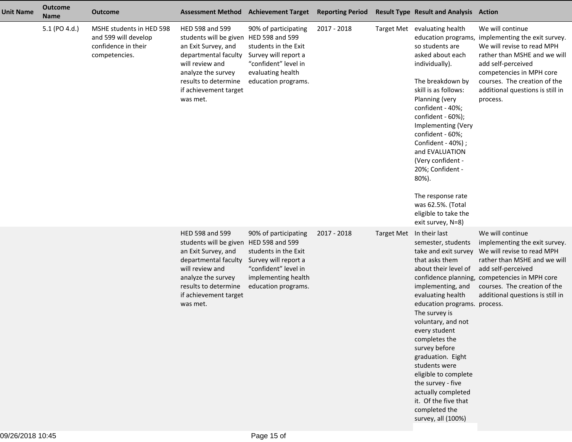| <b>Unit Name</b> | <b>Outcome</b><br><b>Name</b> | <b>Outcome</b>                                                                           | <b>Assessment Method</b>                                                                                                                                                                                       | <b>Achievement Target</b>                                                                                                                                   | <b>Reporting Period</b> |                   | <b>Result Type Result and Analysis Action</b>                                                                                                                                                                                                                                                                                                                                                                             |                                                                                                                                                                                                                                                                                 |
|------------------|-------------------------------|------------------------------------------------------------------------------------------|----------------------------------------------------------------------------------------------------------------------------------------------------------------------------------------------------------------|-------------------------------------------------------------------------------------------------------------------------------------------------------------|-------------------------|-------------------|---------------------------------------------------------------------------------------------------------------------------------------------------------------------------------------------------------------------------------------------------------------------------------------------------------------------------------------------------------------------------------------------------------------------------|---------------------------------------------------------------------------------------------------------------------------------------------------------------------------------------------------------------------------------------------------------------------------------|
|                  | 5.1 (PO 4.d.)                 | MSHE students in HED 598<br>and 599 will develop<br>confidence in their<br>competencies. | HED 598 and 599<br>students will be given<br>an Exit Survey, and<br>departmental faculty<br>will review and<br>analyze the survey<br>results to determine<br>if achievement target<br>was met.                 | 90% of participating<br>HED 598 and 599<br>students in the Exit<br>Survey will report a<br>"confident" level in<br>evaluating health<br>education programs. | 2017 - 2018             |                   | Target Met evaluating health<br>so students are<br>asked about each<br>individually).<br>The breakdown by<br>skill is as follows:<br>Planning (very<br>confident - 40%;<br>confident - 60%);<br>Implementing (Very<br>confident - 60%;<br>Confident - 40%) ;<br>and EVALUATION<br>(Very confident -<br>20%; Confident -<br>80%).<br>The response rate<br>was 62.5%. (Total<br>eligible to take the<br>exit survey, N=8)   | We will continue<br>education programs, implementing the exit survey.<br>We will revise to read MPH<br>rather than MSHE and we will<br>add self-perceived<br>competencies in MPH core<br>courses. The creation of the<br>additional questions is still in<br>process.           |
|                  |                               |                                                                                          | HED 598 and 599<br>students will be given HED 598 and 599<br>an Exit Survey, and<br>departmental faculty<br>will review and<br>analyze the survey<br>results to determine<br>if achievement target<br>was met. | 90% of participating<br>students in the Exit<br>Survey will report a<br>"confident" level in<br>implementing health<br>education programs.                  | 2017 - 2018             | <b>Target Met</b> | In their last<br>semester, students<br>that asks them<br>about their level of<br>implementing, and<br>evaluating health<br>education programs. process.<br>The survey is<br>voluntary, and not<br>every student<br>completes the<br>survey before<br>graduation. Eight<br>students were<br>eligible to complete<br>the survey - five<br>actually completed<br>it. Of the five that<br>completed the<br>survey, all (100%) | We will continue<br>implementing the exit survey.<br>take and exit survey We will revise to read MPH<br>rather than MSHE and we will<br>add self-perceived<br>confidence planning, competencies in MPH core<br>courses. The creation of the<br>additional questions is still in |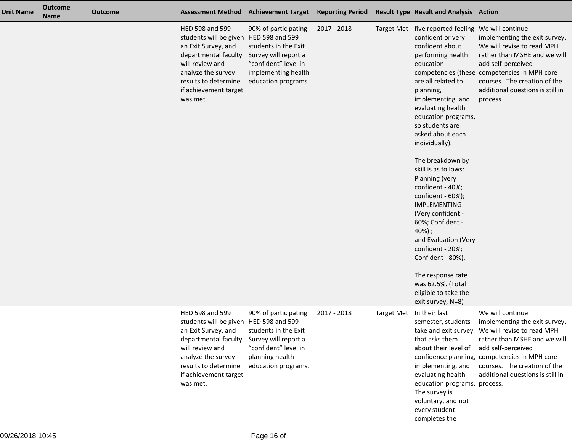| <b>Unit Name</b> | <b>Outcome</b><br><b>Name</b> | <b>Outcome</b> |                                                                                                                                                                                                                | Assessment Method Achievement Target Reporting Period                                                                                      |             |                   | <b>Result Type Result and Analysis Action</b>                                                                                                                                                                                                                                                                                                                                                                                                                                                                                                                                                                                       |                                                                                                                                                                                                                                                                                 |
|------------------|-------------------------------|----------------|----------------------------------------------------------------------------------------------------------------------------------------------------------------------------------------------------------------|--------------------------------------------------------------------------------------------------------------------------------------------|-------------|-------------------|-------------------------------------------------------------------------------------------------------------------------------------------------------------------------------------------------------------------------------------------------------------------------------------------------------------------------------------------------------------------------------------------------------------------------------------------------------------------------------------------------------------------------------------------------------------------------------------------------------------------------------------|---------------------------------------------------------------------------------------------------------------------------------------------------------------------------------------------------------------------------------------------------------------------------------|
|                  |                               |                | HED 598 and 599<br>students will be given HED 598 and 599<br>an Exit Survey, and<br>departmental faculty<br>will review and<br>analyze the survey<br>results to determine<br>if achievement target<br>was met. | 90% of participating<br>students in the Exit<br>Survey will report a<br>"confident" level in<br>implementing health<br>education programs. | 2017 - 2018 |                   | Target Met five reported feeling We will continue<br>confident or very<br>confident about<br>performing health<br>education<br>are all related to<br>planning,<br>implementing, and<br>evaluating health<br>education programs,<br>so students are<br>asked about each<br>individually).<br>The breakdown by<br>skill is as follows:<br>Planning (very<br>confident - 40%;<br>confident - 60%);<br><b>IMPLEMENTING</b><br>(Very confident -<br>60%; Confident -<br>$40%$ );<br>and Evaluation (Very<br>confident - 20%;<br>Confident - 80%).<br>The response rate<br>was 62.5%. (Total<br>eligible to take the<br>exit survey, N=8) | implementing the exit survey.<br>We will revise to read MPH<br>rather than MSHE and we will<br>add self-perceived<br>competencies (these competencies in MPH core<br>courses. The creation of the<br>additional questions is still in<br>process.                               |
|                  |                               |                | HED 598 and 599<br>students will be given HED 598 and 599<br>an Exit Survey, and<br>departmental faculty<br>will review and<br>analyze the survey<br>results to determine<br>if achievement target<br>was met. | 90% of participating<br>students in the Exit<br>Survey will report a<br>"confident" level in<br>planning health<br>education programs.     | 2017 - 2018 | <b>Target Met</b> | In their last<br>semester, students<br>that asks them<br>about their level of<br>implementing, and<br>evaluating health<br>education programs. process.<br>The survey is<br>voluntary, and not<br>every student<br>completes the                                                                                                                                                                                                                                                                                                                                                                                                    | We will continue<br>implementing the exit survey.<br>take and exit survey We will revise to read MPH<br>rather than MSHE and we will<br>add self-perceived<br>confidence planning, competencies in MPH core<br>courses. The creation of the<br>additional questions is still in |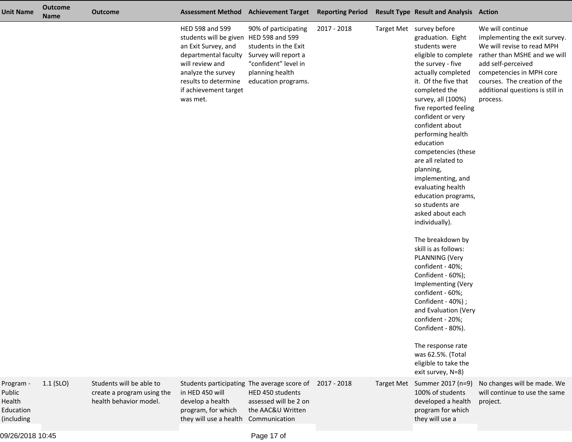| <b>Unit Name</b>                                         | <b>Outcome</b><br><b>Name</b> | <b>Outcome</b>                                                                   |                                                                                                                                                                                                                | Assessment Method Achievement Target Reporting Period                                                                                  |             |                   | <b>Result Type Result and Analysis Action</b>                                                                                                                                                                                                                                                                                                                                                                                                                                                                                                                                                                                                                                                                                                                                                  |                                                                                                                                                                                                                                                                        |
|----------------------------------------------------------|-------------------------------|----------------------------------------------------------------------------------|----------------------------------------------------------------------------------------------------------------------------------------------------------------------------------------------------------------|----------------------------------------------------------------------------------------------------------------------------------------|-------------|-------------------|------------------------------------------------------------------------------------------------------------------------------------------------------------------------------------------------------------------------------------------------------------------------------------------------------------------------------------------------------------------------------------------------------------------------------------------------------------------------------------------------------------------------------------------------------------------------------------------------------------------------------------------------------------------------------------------------------------------------------------------------------------------------------------------------|------------------------------------------------------------------------------------------------------------------------------------------------------------------------------------------------------------------------------------------------------------------------|
|                                                          |                               |                                                                                  | HED 598 and 599<br>students will be given HED 598 and 599<br>an Exit Survey, and<br>departmental faculty<br>will review and<br>analyze the survey<br>results to determine<br>if achievement target<br>was met. | 90% of participating<br>students in the Exit<br>Survey will report a<br>"confident" level in<br>planning health<br>education programs. | 2017 - 2018 |                   | Target Met survey before<br>graduation. Eight<br>students were<br>the survey - five<br>actually completed<br>it. Of the five that<br>completed the<br>survey, all (100%)<br>five reported feeling<br>confident or very<br>confident about<br>performing health<br>education<br>competencies (these<br>are all related to<br>planning,<br>implementing, and<br>evaluating health<br>education programs,<br>so students are<br>asked about each<br>individually).<br>The breakdown by<br>skill is as follows:<br>PLANNING (Very<br>confident - 40%;<br>Confident - 60%);<br>Implementing (Very<br>confident - 60%;<br>Confident - 40%) ;<br>and Evaluation (Very<br>confident - 20%;<br>Confident - 80%).<br>The response rate<br>was 62.5%. (Total<br>eligible to take the<br>exit survey, N=8) | We will continue<br>implementing the exit survey.<br>We will revise to read MPH<br>eligible to complete rather than MSHE and we will<br>add self-perceived<br>competencies in MPH core<br>courses. The creation of the<br>additional questions is still in<br>process. |
| Program -<br>Public<br>Health<br>Education<br>(including | $1.1$ (SLO)                   | Students will be able to<br>create a program using the<br>health behavior model. | Students participating The average score of<br>in HED 450 will<br>develop a health<br>program, for which<br>they will use a health                                                                             | HED 450 students<br>assessed will be 2 on<br>the AAC&U Written<br>Communication                                                        | 2017 - 2018 | <b>Target Met</b> | Summer 2017 (n=9)<br>100% of students<br>developed a health<br>program for which<br>they will use a                                                                                                                                                                                                                                                                                                                                                                                                                                                                                                                                                                                                                                                                                            | No changes will be made. We<br>will continue to use the same<br>project.                                                                                                                                                                                               |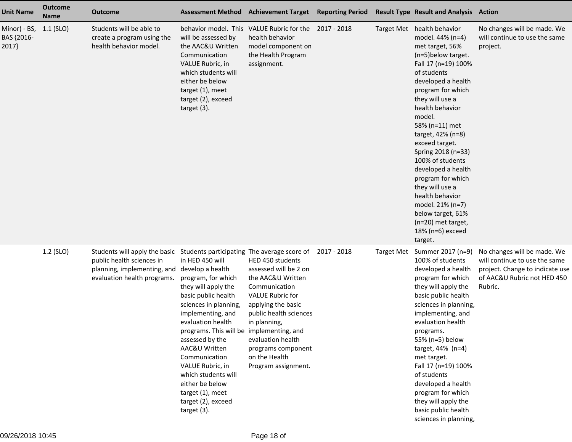| <b>Unit Name</b>                    | <b>Outcome</b><br><b>Name</b> | <b>Outcome</b>                                                                                                                                                       |                                                                                                                                                                                                                                                                                                                                                                                                       | <b>Assessment Method Achievement Target</b>                                                                                                                                                                                                                   | <b>Reporting Period</b> | <b>Result Type Result and Analysis Action</b>                                                                                                                                                                                                                                                                                                                                                                                                                                                              |                                                                                                                                           |
|-------------------------------------|-------------------------------|----------------------------------------------------------------------------------------------------------------------------------------------------------------------|-------------------------------------------------------------------------------------------------------------------------------------------------------------------------------------------------------------------------------------------------------------------------------------------------------------------------------------------------------------------------------------------------------|---------------------------------------------------------------------------------------------------------------------------------------------------------------------------------------------------------------------------------------------------------------|-------------------------|------------------------------------------------------------------------------------------------------------------------------------------------------------------------------------------------------------------------------------------------------------------------------------------------------------------------------------------------------------------------------------------------------------------------------------------------------------------------------------------------------------|-------------------------------------------------------------------------------------------------------------------------------------------|
| Minor) - BS,<br>BAS {2016-<br>2017} | $1.1$ (SLO)                   | Students will be able to<br>create a program using the<br>health behavior model.                                                                                     | will be assessed by<br>the AAC&U Written<br>Communication<br>VALUE Rubric, in<br>which students will<br>either be below<br>target (1), meet<br>target (2), exceed<br>target $(3)$ .                                                                                                                                                                                                                   | behavior model. This VALUE Rubric for the<br>health behavior<br>model component on<br>the Health Program<br>assignment.                                                                                                                                       | 2017 - 2018             | Target Met health behavior<br>model. 44% (n=4)<br>met target, 56%<br>(n=5)below target.<br>Fall 17 (n=19) 100%<br>of students<br>developed a health<br>program for which<br>they will use a<br>health behavior<br>model.<br>58% (n=11) met<br>target, 42% (n=8)<br>exceed target.<br>Spring 2018 (n=33)<br>100% of students<br>developed a health<br>program for which<br>they will use a<br>health behavior<br>model. 21% (n=7)<br>below target, 61%<br>(n=20) met target,<br>18% (n=6) exceed<br>target. | No changes will be made. We<br>will continue to use the same<br>project.                                                                  |
|                                     | 1.2 (SLO)                     | Students will apply the basic Students participating The average score of<br>public health sciences in<br>planning, implementing, and<br>evaluation health programs. | in HED 450 will<br>develop a health<br>program, for which<br>they will apply the<br>basic public health<br>sciences in planning,<br>implementing, and<br>evaluation health<br>programs. This will be implementing, and<br>assessed by the<br>AAC&U Written<br>Communication<br>VALUE Rubric, in<br>which students will<br>either be below<br>target (1), meet<br>target (2), exceed<br>target $(3)$ . | HED 450 students<br>assessed will be 2 on<br>the AAC&U Written<br>Communication<br><b>VALUE Rubric for</b><br>applying the basic<br>public health sciences<br>in planning,<br>evaluation health<br>programs component<br>on the Health<br>Program assignment. | 2017 - 2018             | Target Met Summer 2017 (n=9)<br>100% of students<br>developed a health<br>program for which<br>they will apply the<br>basic public health<br>sciences in planning,<br>implementing, and<br>evaluation health<br>programs.<br>55% (n=5) below<br>target, 44% (n=4)<br>met target.<br>Fall 17 (n=19) 100%<br>of students<br>developed a health<br>program for which<br>they will apply the<br>basic public health<br>sciences in planning,                                                                   | No changes will be made. We<br>will continue to use the same<br>project. Change to indicate use<br>of AAC&U Rubric not HED 450<br>Rubric. |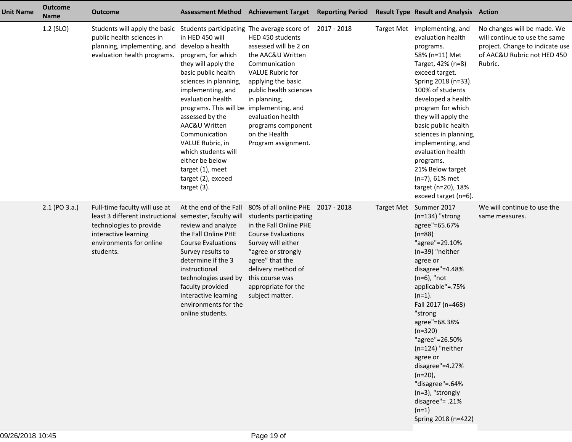| <b>Unit Name</b> | <b>Outcome</b><br><b>Name</b> | <b>Outcome</b>                                                                                                                                                                   |                                                                                                                                                                                                                                                                                                                                                                                                       | Assessment Method Achievement Target Reporting Period                                                                                                                                                                                                                |  | <b>Result Type Result and Analysis Action</b>                                                                                                                                                                                                                                                                                                                                                                                                       |                                                                                                                                           |
|------------------|-------------------------------|----------------------------------------------------------------------------------------------------------------------------------------------------------------------------------|-------------------------------------------------------------------------------------------------------------------------------------------------------------------------------------------------------------------------------------------------------------------------------------------------------------------------------------------------------------------------------------------------------|----------------------------------------------------------------------------------------------------------------------------------------------------------------------------------------------------------------------------------------------------------------------|--|-----------------------------------------------------------------------------------------------------------------------------------------------------------------------------------------------------------------------------------------------------------------------------------------------------------------------------------------------------------------------------------------------------------------------------------------------------|-------------------------------------------------------------------------------------------------------------------------------------------|
|                  | 1.2 (SLO)                     | Students will apply the basic Students participating The average score of 2017 - 2018<br>public health sciences in<br>planning, implementing, and<br>evaluation health programs. | in HED 450 will<br>develop a health<br>program, for which<br>they will apply the<br>basic public health<br>sciences in planning,<br>implementing, and<br>evaluation health<br>programs. This will be implementing, and<br>assessed by the<br>AAC&U Written<br>Communication<br>VALUE Rubric, in<br>which students will<br>either be below<br>target (1), meet<br>target (2), exceed<br>target $(3)$ . | HED 450 students<br>assessed will be 2 on<br>the AAC&U Written<br>Communication<br><b>VALUE Rubric for</b><br>applying the basic<br>public health sciences<br>in planning,<br>evaluation health<br>programs component<br>on the Health<br>Program assignment.        |  | Target Met implementing, and<br>evaluation health<br>programs.<br>58% (n=11) Met<br>Target, 42% (n=8)<br>exceed target.<br>Spring 2018 (n=33).<br>100% of students<br>developed a health<br>program for which<br>they will apply the<br>basic public health<br>sciences in planning,<br>implementing, and<br>evaluation health<br>programs.<br>21% Below target<br>$(n=7)$ , 61% met<br>target (n=20), 18%<br>exceed target (n=6).                  | No changes will be made. We<br>will continue to use the same<br>project. Change to indicate use<br>of AAC&U Rubric not HED 450<br>Rubric. |
|                  | $2.1$ (PO $3.a.$ )            | Full-time faculty will use at<br>least 3 different instructional<br>technologies to provide<br>interactive learning<br>environments for online<br>students.                      | At the end of the Fall<br>semester, faculty will<br>review and analyze<br>the Fall Online PHE<br><b>Course Evaluations</b><br>Survey results to<br>determine if the 3<br>instructional<br>technologies used by<br>faculty provided<br>interactive learning<br>environments for the<br>online students.                                                                                                | 80% of all online PHE 2017 - 2018<br>students participating<br>in the Fall Online PHE<br><b>Course Evaluations</b><br>Survey will either<br>"agree or strongly<br>agree" that the<br>delivery method of<br>this course was<br>appropriate for the<br>subject matter. |  | Target Met Summer 2017<br>$(n=134)$ "strong<br>agree"=65.67%<br>$(n=88)$<br>"agree"=29.10%<br>$(n=39)$ "neither<br>agree or<br>disagree"=4.48%<br>$(n=6)$ , "not<br>applicable"=.75%<br>$(n=1)$ .<br>Fall 2017 (n=468)<br>"strong<br>agree"=68.38%<br>$(n=320)$<br>"agree"=26.50%<br>$(n=124)$ "neither<br>agree or<br>disagree"=4.27%<br>$(n=20)$ ,<br>"disagree"=.64%<br>$(n=3)$ , "strongly<br>disagree"= .21%<br>$(n=1)$<br>Spring 2018 (n=422) | We will continue to use the<br>same measures.                                                                                             |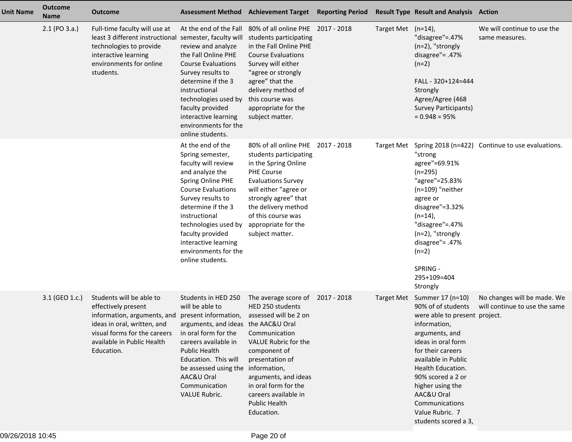| <b>Unit Name</b> | <b>Outcome</b><br><b>Name</b> | <b>Outcome</b>                                                                                                                                                                            |                                                                                                                                                                                                                                                                                                               | Assessment Method Achievement Target Reporting Period                                                                                                                                                                                                                                   |                    | <b>Result Type Result and Analysis Action</b>                                                                                                                                                                                                                                                                                   |                                                              |
|------------------|-------------------------------|-------------------------------------------------------------------------------------------------------------------------------------------------------------------------------------------|---------------------------------------------------------------------------------------------------------------------------------------------------------------------------------------------------------------------------------------------------------------------------------------------------------------|-----------------------------------------------------------------------------------------------------------------------------------------------------------------------------------------------------------------------------------------------------------------------------------------|--------------------|---------------------------------------------------------------------------------------------------------------------------------------------------------------------------------------------------------------------------------------------------------------------------------------------------------------------------------|--------------------------------------------------------------|
|                  | $2.1$ (PO $3.a.$ )            | Full-time faculty will use at<br>least 3 different instructional<br>technologies to provide<br>interactive learning<br>environments for online<br>students.                               | At the end of the Fall<br>semester, faculty will<br>review and analyze<br>the Fall Online PHE<br><b>Course Evaluations</b><br>Survey results to<br>determine if the 3<br>instructional<br>technologies used by<br>faculty provided<br>interactive learning<br>environments for the<br>online students.        | 80% of all online PHE 2017 - 2018<br>students participating<br>in the Fall Online PHE<br><b>Course Evaluations</b><br>Survey will either<br>"agree or strongly<br>agree" that the<br>delivery method of<br>this course was<br>appropriate for the<br>subject matter.                    | Target Met (n=14), | "disagree"=.47%<br>$(n=2)$ , "strongly<br>disagree"= $.47%$<br>$(n=2)$<br>FALL - 320+124=444<br>Strongly<br>Agree/Agree (468<br>Survey Participants)<br>$= 0.948 = 95%$                                                                                                                                                         | We will continue to use the<br>same measures.                |
|                  |                               |                                                                                                                                                                                           | At the end of the<br>Spring semester,<br>faculty will review<br>and analyze the<br>Spring Online PHE<br><b>Course Evaluations</b><br>Survey results to<br>determine if the 3<br>instructional<br>technologies used by<br>faculty provided<br>interactive learning<br>environments for the<br>online students. | 80% of all online PHE 2017 - 2018<br>students participating<br>in the Spring Online<br>PHE Course<br><b>Evaluations Survey</b><br>will either "agree or<br>strongly agree" that<br>the delivery method<br>of this course was<br>appropriate for the<br>subject matter.                  | Target Met         | "strong<br>agree"=69.91%<br>$(n=295)$<br>"agree"=25.83%<br>$(n=109)$ "neither<br>agree or<br>disagree"=3.32%<br>$(n=14)$ ,<br>"disagree"=.47%<br>(n=2), "strongly<br>disagree"= .47%<br>$(n=2)$<br>SPRING -<br>295+109=404<br>Strongly                                                                                          | Spring 2018 (n=422) Continue to use evaluations.             |
|                  | 3.1 (GEO 1.c.)                | Students will be able to<br>effectively present<br>information, arguments, and<br>ideas in oral, written, and<br>visual forms for the careers<br>available in Public Health<br>Education. | Students in HED 250<br>will be able to<br>present information,<br>arguments, and ideas the AAC&U Oral<br>in oral form for the<br>careers available in<br><b>Public Health</b><br>Education. This will<br>be assessed using the<br>AAC&U Oral<br>Communication<br><b>VALUE Rubric.</b>                         | The average score of 2017 - 2018<br>HED 250 students<br>assessed will be 2 on<br>Communication<br>VALUE Rubric for the<br>component of<br>presentation of<br>information,<br>arguments, and ideas<br>in oral form for the<br>careers available in<br><b>Public Health</b><br>Education. |                    | Target Met Summer 17 (n=10)<br>90% of of students<br>were able to present project.<br>information,<br>arguments, and<br>ideas in oral form<br>for their careers<br>available in Public<br>Health Education.<br>90% scored a 2 or<br>higher using the<br>AAC&U Oral<br>Communications<br>Value Rubric. 7<br>students scored a 3, | No changes will be made. We<br>will continue to use the same |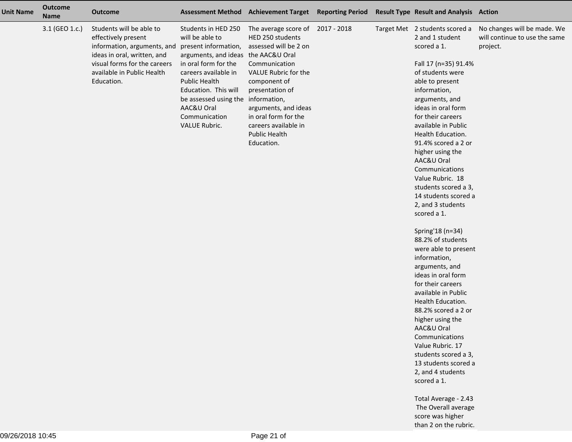| <b>Unit Name</b> | <b>Outcome</b><br><b>Name</b> | <b>Outcome</b>                                                                                                                                                                            |                                                                                                                                                                                                                                                                                             | Assessment Method Achievement Target Reporting Period                                                                                                                                                                                                            |  | <b>Result Type Result and Analysis Action</b>                                                                                                                                                                                                                                                                                                                                                                                                                                                                                                                                                                                                                                                                                                                                                                            |                                                                          |
|------------------|-------------------------------|-------------------------------------------------------------------------------------------------------------------------------------------------------------------------------------------|---------------------------------------------------------------------------------------------------------------------------------------------------------------------------------------------------------------------------------------------------------------------------------------------|------------------------------------------------------------------------------------------------------------------------------------------------------------------------------------------------------------------------------------------------------------------|--|--------------------------------------------------------------------------------------------------------------------------------------------------------------------------------------------------------------------------------------------------------------------------------------------------------------------------------------------------------------------------------------------------------------------------------------------------------------------------------------------------------------------------------------------------------------------------------------------------------------------------------------------------------------------------------------------------------------------------------------------------------------------------------------------------------------------------|--------------------------------------------------------------------------|
|                  | 3.1 (GEO 1.c.)                | Students will be able to<br>effectively present<br>information, arguments, and<br>ideas in oral, written, and<br>visual forms for the careers<br>available in Public Health<br>Education. | Students in HED 250<br>will be able to<br>present information,<br>arguments, and ideas the AAC&U Oral<br>in oral form for the<br>careers available in<br><b>Public Health</b><br>Education. This will<br>be assessed using the information,<br>AAC&U Oral<br>Communication<br>VALUE Rubric. | The average score of 2017 - 2018<br>HED 250 students<br>assessed will be 2 on<br>Communication<br>VALUE Rubric for the<br>component of<br>presentation of<br>arguments, and ideas<br>in oral form for the<br>careers available in<br>Public Health<br>Education. |  | Target Met 2 students scored a<br>2 and 1 student<br>scored a 1.<br>Fall 17 (n=35) 91.4%<br>of students were<br>able to present<br>information,<br>arguments, and<br>ideas in oral form<br>for their careers<br>available in Public<br>Health Education.<br>91.4% scored a 2 or<br>higher using the<br>AAC&U Oral<br>Communications<br>Value Rubric. 18<br>students scored a 3,<br>14 students scored a<br>2, and 3 students<br>scored a 1.<br>Spring'18 (n=34)<br>88.2% of students<br>were able to present<br>information,<br>arguments, and<br>ideas in oral form<br>for their careers<br>available in Public<br>Health Education.<br>88.2% scored a 2 or<br>higher using the<br>AAC&U Oral<br>Communications<br>Value Rubric. 17<br>students scored a 3,<br>13 students scored a<br>2, and 4 students<br>scored a 1. | No changes will be made. We<br>will continue to use the same<br>project. |
|                  |                               |                                                                                                                                                                                           |                                                                                                                                                                                                                                                                                             |                                                                                                                                                                                                                                                                  |  | Total Average - 2.43<br>The Overall average<br>score was higher                                                                                                                                                                                                                                                                                                                                                                                                                                                                                                                                                                                                                                                                                                                                                          |                                                                          |

than 2 on the rubric.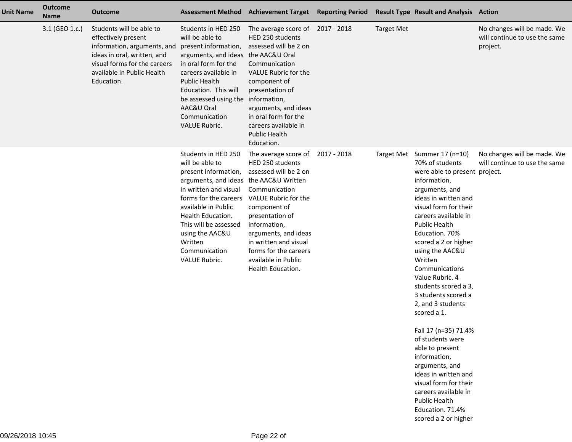| <b>Unit Name</b> | <b>Outcome</b><br><b>Name</b> | <b>Outcome</b>                                                                                                                                                                            |                                                                                                                                                                                                                                                                                                    | Assessment Method Achievement Target Reporting Period                                                                                                                                                                                                                                           |                   | <b>Result Type Result and Analysis Action</b>                                                                                                                                                                                                                                                                                                                                                                                                                                                                                                                                                                                                      |                                                                          |
|------------------|-------------------------------|-------------------------------------------------------------------------------------------------------------------------------------------------------------------------------------------|----------------------------------------------------------------------------------------------------------------------------------------------------------------------------------------------------------------------------------------------------------------------------------------------------|-------------------------------------------------------------------------------------------------------------------------------------------------------------------------------------------------------------------------------------------------------------------------------------------------|-------------------|----------------------------------------------------------------------------------------------------------------------------------------------------------------------------------------------------------------------------------------------------------------------------------------------------------------------------------------------------------------------------------------------------------------------------------------------------------------------------------------------------------------------------------------------------------------------------------------------------------------------------------------------------|--------------------------------------------------------------------------|
|                  | 3.1 (GEO 1.c.)                | Students will be able to<br>effectively present<br>information, arguments, and<br>ideas in oral, written, and<br>visual forms for the careers<br>available in Public Health<br>Education. | Students in HED 250<br>will be able to<br>present information,<br>arguments, and ideas the AAC&U Oral<br>in oral form for the<br>careers available in<br><b>Public Health</b><br>Education. This will<br>be assessed using the information,<br>AAC&U Oral<br>Communication<br><b>VALUE Rubric.</b> | The average score of 2017 - 2018<br>HED 250 students<br>assessed will be 2 on<br>Communication<br>VALUE Rubric for the<br>component of<br>presentation of<br>arguments, and ideas<br>in oral form for the<br>careers available in<br><b>Public Health</b><br>Education.                         | <b>Target Met</b> |                                                                                                                                                                                                                                                                                                                                                                                                                                                                                                                                                                                                                                                    | No changes will be made. We<br>will continue to use the same<br>project. |
|                  |                               |                                                                                                                                                                                           | Students in HED 250<br>will be able to<br>present information,<br>arguments, and ideas the AAC&U Written<br>in written and visual<br>forms for the careers<br>available in Public<br>Health Education.<br>This will be assessed<br>using the AAC&U<br>Written<br>Communication<br>VALUE Rubric.    | The average score of 2017 - 2018<br>HED 250 students<br>assessed will be 2 on<br>Communication<br>VALUE Rubric for the<br>component of<br>presentation of<br>information,<br>arguments, and ideas<br>in written and visual<br>forms for the careers<br>available in Public<br>Health Education. |                   | Target Met Summer 17 (n=10)<br>70% of students<br>were able to present project.<br>information,<br>arguments, and<br>ideas in written and<br>visual form for their<br>careers available in<br>Public Health<br>Education. 70%<br>scored a 2 or higher<br>using the AAC&U<br>Written<br>Communications<br>Value Rubric. 4<br>students scored a 3,<br>3 students scored a<br>2, and 3 students<br>scored a 1.<br>Fall 17 (n=35) 71.4%<br>of students were<br>able to present<br>information,<br>arguments, and<br>ideas in written and<br>visual form for their<br>careers available in<br>Public Health<br>Education. 71.4%<br>scored a 2 or higher | No changes will be made. We<br>will continue to use the same             |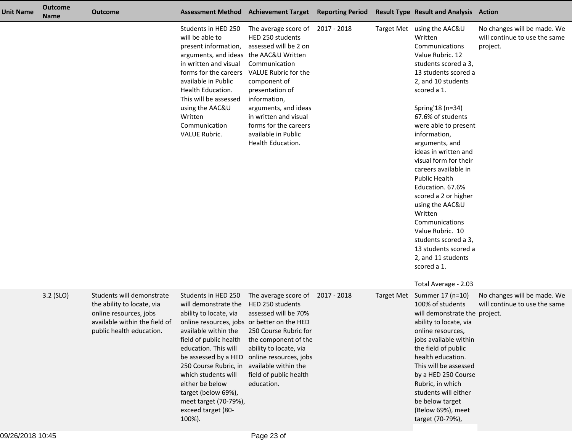| <b>Unit Name</b> | Outcome<br><b>Name</b> | Outcome                                                                                                                                        |                                                                                                                                                                                                                                                                                                                                                                           | Assessment Method Achievement Target Reporting Period Result Type Result and Analysis Action                                                                                                                                                                                                    |  |                                                                                                                                                                                                                                                                                                                                                                                                                                                                                                                                                                                                   |                                                                          |
|------------------|------------------------|------------------------------------------------------------------------------------------------------------------------------------------------|---------------------------------------------------------------------------------------------------------------------------------------------------------------------------------------------------------------------------------------------------------------------------------------------------------------------------------------------------------------------------|-------------------------------------------------------------------------------------------------------------------------------------------------------------------------------------------------------------------------------------------------------------------------------------------------|--|---------------------------------------------------------------------------------------------------------------------------------------------------------------------------------------------------------------------------------------------------------------------------------------------------------------------------------------------------------------------------------------------------------------------------------------------------------------------------------------------------------------------------------------------------------------------------------------------------|--------------------------------------------------------------------------|
|                  |                        |                                                                                                                                                | Students in HED 250<br>will be able to<br>present information,<br>arguments, and ideas the AAC&U Written<br>in written and visual<br>forms for the careers<br>available in Public<br>Health Education.<br>This will be assessed<br>using the AAC&U<br>Written<br>Communication<br>VALUE Rubric.                                                                           | The average score of 2017 - 2018<br>HED 250 students<br>assessed will be 2 on<br>Communication<br>VALUE Rubric for the<br>component of<br>presentation of<br>information,<br>arguments, and ideas<br>in written and visual<br>forms for the careers<br>available in Public<br>Health Education. |  | Target Met using the AAC&U<br>Written<br>Communications<br>Value Rubric. 12<br>students scored a 3,<br>13 students scored a<br>2, and 10 students<br>scored a 1.<br>Spring'18 (n=34)<br>67.6% of students<br>were able to present<br>information,<br>arguments, and<br>ideas in written and<br>visual form for their<br>careers available in<br><b>Public Health</b><br>Education. 67.6%<br>scored a 2 or higher<br>using the AAC&U<br>Written<br>Communications<br>Value Rubric. 10<br>students scored a 3,<br>13 students scored a<br>2, and 11 students<br>scored a 1.<br>Total Average - 2.03 | No changes will be made. We<br>will continue to use the same<br>project. |
|                  | 3.2 (SLO)              | Students will demonstrate<br>the ability to locate, via<br>online resources, jobs<br>available within the field of<br>public health education. | Students in HED 250<br>will demonstrate the<br>ability to locate, via<br>online resources, jobs or better on the HED<br>available within the<br>field of public health<br>education. This will<br>be assessed by a HED<br>250 Course Rubric, in<br>which students will<br>either be below<br>target (below 69%),<br>meet target (70-79%),<br>exceed target (80-<br>100%). | The average score of 2017 - 2018<br>HED 250 students<br>assessed will be 70%<br>250 Course Rubric for<br>the component of the<br>ability to locate, via<br>online resources, jobs<br>available within the<br>field of public health<br>education.                                               |  | Target Met Summer 17 (n=10)<br>100% of students<br>will demonstrate the project.<br>ability to locate, via<br>online resources,<br>jobs available within<br>the field of public<br>health education.<br>This will be assessed<br>by a HED 250 Course<br>Rubric, in which<br>students will either<br>be below target<br>(Below 69%), meet<br>target (70-79%),                                                                                                                                                                                                                                      | No changes will be made. We<br>will continue to use the same             |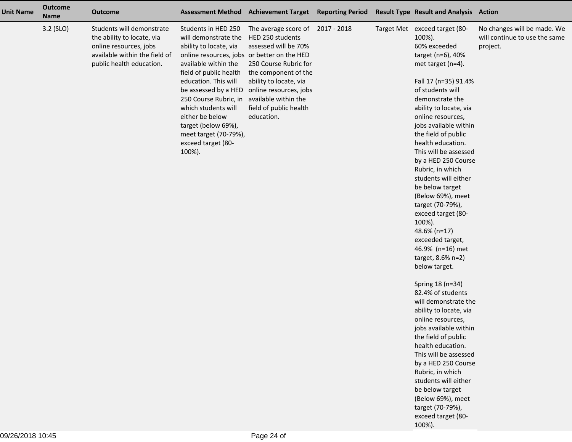| <b>Unit Name</b> | <b>Outcome</b><br><b>Name</b> | <b>Outcome</b>                                                                                                                                 | <b>Assessment Method</b>                                                                                                                                                                                                                                                                                                                                                  | <b>Achievement Target</b>                                                                                                                                                                                                                         | <b>Reporting Period</b> | <b>Result Type Result and Analysis Action</b>                                                                                                                                                                                                                                                                                                                                                                                                                                                                                                                                                                                                                                                                                                                                                                                                                                                                                                 |                                                                          |
|------------------|-------------------------------|------------------------------------------------------------------------------------------------------------------------------------------------|---------------------------------------------------------------------------------------------------------------------------------------------------------------------------------------------------------------------------------------------------------------------------------------------------------------------------------------------------------------------------|---------------------------------------------------------------------------------------------------------------------------------------------------------------------------------------------------------------------------------------------------|-------------------------|-----------------------------------------------------------------------------------------------------------------------------------------------------------------------------------------------------------------------------------------------------------------------------------------------------------------------------------------------------------------------------------------------------------------------------------------------------------------------------------------------------------------------------------------------------------------------------------------------------------------------------------------------------------------------------------------------------------------------------------------------------------------------------------------------------------------------------------------------------------------------------------------------------------------------------------------------|--------------------------------------------------------------------------|
|                  | 3.2 (SLO)                     | Students will demonstrate<br>the ability to locate, via<br>online resources, jobs<br>available within the field of<br>public health education. | Students in HED 250<br>will demonstrate the<br>ability to locate, via<br>online resources, jobs or better on the HED<br>available within the<br>field of public health<br>education. This will<br>be assessed by a HED<br>250 Course Rubric, in<br>which students will<br>either be below<br>target (below 69%),<br>meet target (70-79%),<br>exceed target (80-<br>100%). | The average score of 2017 - 2018<br>HED 250 students<br>assessed will be 70%<br>250 Course Rubric for<br>the component of the<br>ability to locate, via<br>online resources, jobs<br>available within the<br>field of public health<br>education. |                         | Target Met exceed target (80-<br>100%).<br>60% exceeded<br>target (n=6), 40%<br>met target (n=4).<br>Fall 17 (n=35) 91.4%<br>of students will<br>demonstrate the<br>ability to locate, via<br>online resources,<br>jobs available within<br>the field of public<br>health education.<br>This will be assessed<br>by a HED 250 Course<br>Rubric, in which<br>students will either<br>be below target<br>(Below 69%), meet<br>target (70-79%),<br>exceed target (80-<br>100%).<br>48.6% (n=17)<br>exceeded target,<br>46.9% (n=16) met<br>target, 8.6% n=2)<br>below target.<br>Spring 18 (n=34)<br>82.4% of students<br>will demonstrate the<br>ability to locate, via<br>online resources,<br>jobs available within<br>the field of public<br>health education.<br>This will be assessed<br>by a HED 250 Course<br>Rubric, in which<br>students will either<br>be below target<br>(Below 69%), meet<br>target (70-79%),<br>exceed target (80- | No changes will be made. We<br>will continue to use the same<br>project. |

100%).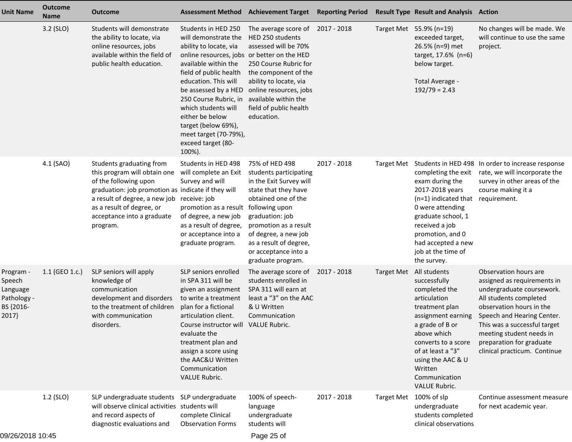| <b>Unit Name</b>                                                     | <b>Outcome</b><br><b>Name</b> | <b>Outcome</b>                                                                                                                                                                                                                                               |                                                                                                                                                                                                                                                                                                                                                                           | Assessment Method Achievement Target Reporting Period                                                                                                                                                                                                                           |             |                   | <b>Result Type Result and Analysis Action</b>                                                                                                                                                                                                                           |                                                                                                                                                                                                                                                                                               |
|----------------------------------------------------------------------|-------------------------------|--------------------------------------------------------------------------------------------------------------------------------------------------------------------------------------------------------------------------------------------------------------|---------------------------------------------------------------------------------------------------------------------------------------------------------------------------------------------------------------------------------------------------------------------------------------------------------------------------------------------------------------------------|---------------------------------------------------------------------------------------------------------------------------------------------------------------------------------------------------------------------------------------------------------------------------------|-------------|-------------------|-------------------------------------------------------------------------------------------------------------------------------------------------------------------------------------------------------------------------------------------------------------------------|-----------------------------------------------------------------------------------------------------------------------------------------------------------------------------------------------------------------------------------------------------------------------------------------------|
|                                                                      | 3.2 (SLO)                     | Students will demonstrate<br>the ability to locate, via<br>online resources, jobs<br>available within the field of<br>public health education.                                                                                                               | Students in HED 250<br>will demonstrate the<br>ability to locate, via<br>online resources, jobs or better on the HED<br>available within the<br>field of public health<br>education. This will<br>be assessed by a HED<br>250 Course Rubric, in<br>which students will<br>either be below<br>target (below 69%),<br>meet target (70-79%),<br>exceed target (80-<br>100%). | The average score of 2017 - 2018<br>HED 250 students<br>assessed will be 70%<br>250 Course Rubric for<br>the component of the<br>ability to locate, via<br>online resources, jobs<br>available within the<br>field of public health<br>education.                               |             |                   | Target Met 55.9% (n=19)<br>exceeded target,<br>26.5% (n=9) met<br>target, 17.6% (n=6)<br>below target.<br>Total Average -<br>$192/79 = 2.43$                                                                                                                            | No changes will be made. We<br>will continue to use the same<br>project.                                                                                                                                                                                                                      |
|                                                                      | 4.1 (SAO)                     | Students graduating from<br>this program will obtain one<br>of the following upon<br>graduation: job promotion as indicate if they will<br>a result of degree, a new job receive: job<br>as a result of degree, or<br>acceptance into a graduate<br>program. | Students in HED 498<br>will complete an Exit<br>Survey and will<br>promotion as a result<br>of degree, a new job<br>as a result of degree,<br>or acceptance into a<br>graduate program.                                                                                                                                                                                   | 75% of HED 498<br>students participating<br>in the Exit Survey will<br>state that they have<br>obtained one of the<br>following upon<br>graduation: job<br>promotion as a result<br>of degree, a new job<br>as a result of degree,<br>or acceptance into a<br>graduate program. | 2017 - 2018 | <b>Target Met</b> | completing the exit<br>exam during the<br>2017-2018 years<br>(n=1) indicated that requirement.<br>0 were attending<br>graduate school, 1<br>received a job<br>promotion, and 0<br>had accepted a new<br>job at the time of<br>the survey.                               | Students in HED 498 In order to increase response<br>rate, we will incorporate the<br>survey in other areas of the<br>course making it a                                                                                                                                                      |
| Program -<br>Speech<br>Language<br>Pathology -<br>BS {2016-<br>2017} | 1.1 (GEO 1.c.)                | SLP seniors will apply<br>knowledge of<br>communication<br>development and disorders<br>to the treatment of children<br>with communication<br>disorders.                                                                                                     | SLP seniors enrolled<br>in SPA 311 will be<br>given an assignment<br>to write a treatment<br>plan for a fictional<br>articulation client.<br>Course instructor will<br>evaluate the<br>treatment plan and<br>assign a score using<br>the AAC&U Written<br>Communication<br>VALUE Rubric.                                                                                  | The average score of<br>students enrolled in<br>SPA 311 will earn at<br>least a "3" on the AAC<br>& U Written<br>Communication<br><b>VALUE Rubric.</b>                                                                                                                          | 2017 - 2018 |                   | Target Met All students<br>successfully<br>completed the<br>articulation<br>treatment plan<br>assignment earning<br>a grade of B or<br>above which<br>converts to a score<br>of at least a "3"<br>using the AAC & U<br>Written<br>Communication<br><b>VALUE Rubric.</b> | Observation hours are<br>assigned as requirements in<br>undergraduate coursework.<br>All students completed<br>observation hours in the<br>Speech and Hearing Center.<br>This was a successful target<br>meeting student needs in<br>preparation for graduate<br>clinical practicum. Continue |
| 09/26/2018 10:45                                                     | $1.2$ (SLO)                   | SLP undergraduate students SLP undergraduate<br>will observe clinical activities students will<br>and record aspects of<br>diagnostic evaluations and                                                                                                        | complete Clinical<br><b>Observation Forms</b>                                                                                                                                                                                                                                                                                                                             | 100% of speech-<br>language<br>undergraduate<br>students will<br>Page 25 of                                                                                                                                                                                                     | 2017 - 2018 | <b>Target Met</b> | 100% of slp<br>undergraduate<br>students completed<br>clinical observations                                                                                                                                                                                             | Continue assessment measure<br>for next academic year.                                                                                                                                                                                                                                        |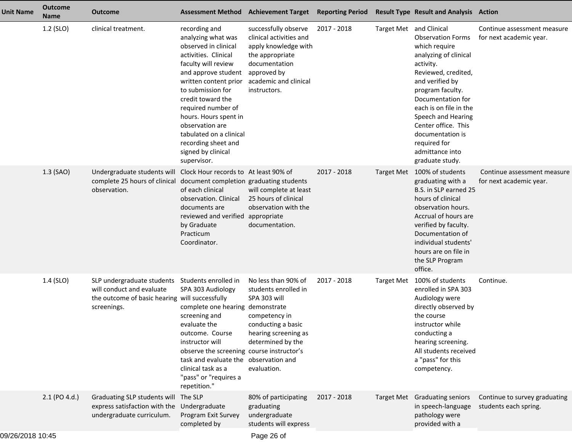| <b>Unit Name</b> | <b>Outcome</b><br><b>Name</b> | <b>Outcome</b>                                                                                                           | <b>Assessment Method</b>                                                                                                                                                                                                                                                                                                                                      | <b>Achievement Target Reporting Period</b>                                                                                                                                    |             |                         | <b>Result Type Result and Analysis Action</b>                                                                                                                                                                                                                                                                       |                                                        |
|------------------|-------------------------------|--------------------------------------------------------------------------------------------------------------------------|---------------------------------------------------------------------------------------------------------------------------------------------------------------------------------------------------------------------------------------------------------------------------------------------------------------------------------------------------------------|-------------------------------------------------------------------------------------------------------------------------------------------------------------------------------|-------------|-------------------------|---------------------------------------------------------------------------------------------------------------------------------------------------------------------------------------------------------------------------------------------------------------------------------------------------------------------|--------------------------------------------------------|
|                  | 1.2 (SLO)                     | clinical treatment.                                                                                                      | recording and<br>analyzing what was<br>observed in clinical<br>activities. Clinical<br>faculty will review<br>and approve student<br>written content prior<br>to submission for<br>credit toward the<br>required number of<br>hours. Hours spent in<br>observation are<br>tabulated on a clinical<br>recording sheet and<br>signed by clinical<br>supervisor. | successfully observe<br>clinical activities and<br>apply knowledge with<br>the appropriate<br>documentation<br>approved by<br>academic and clinical<br>instructors.           | 2017 - 2018 | Target Met and Clinical | <b>Observation Forms</b><br>which require<br>analyzing of clinical<br>activity.<br>Reviewed, credited,<br>and verified by<br>program faculty.<br>Documentation for<br>each is on file in the<br>Speech and Hearing<br>Center office. This<br>documentation is<br>required for<br>admittance into<br>graduate study. | Continue assessment measure<br>for next academic year. |
|                  | 1.3 (SAO)                     | Undergraduate students will Clock Hour records to At least 90% of<br>complete 25 hours of clinical<br>observation.       | document completion graduating students<br>of each clinical<br>observation. Clinical<br>documents are<br>reviewed and verified<br>by Graduate<br>Practicum<br>Coordinator.                                                                                                                                                                                    | will complete at least<br>25 hours of clinical<br>observation with the<br>appropriate<br>documentation.                                                                       | 2017 - 2018 | <b>Target Met</b>       | 100% of students<br>graduating with a<br>B.S. in SLP earned 25<br>hours of clinical<br>observation hours.<br>Accrual of hours are<br>verified by faculty.<br>Documentation of<br>individual students'<br>hours are on file in<br>the SLP Program<br>office.                                                         | Continue assessment measure<br>for next academic year. |
|                  | 1.4 (SLO)                     | SLP undergraduate students<br>will conduct and evaluate<br>the outcome of basic hearing will successfully<br>screenings. | Students enrolled in<br>SPA 303 Audiology<br>complete one hearing<br>screening and<br>evaluate the<br>outcome. Course<br>instructor will<br>observe the screening course instructor's<br>task and evaluate the observation and<br>clinical task as a<br>"pass" or "requires a<br>repetition."                                                                 | No less than 90% of<br>students enrolled in<br>SPA 303 will<br>demonstrate<br>competency in<br>conducting a basic<br>hearing screening as<br>determined by the<br>evaluation. | 2017 - 2018 | <b>Target Met</b>       | 100% of students<br>enrolled in SPA 303<br>Audiology were<br>directly observed by<br>the course<br>instructor while<br>conducting a<br>hearing screening.<br>All students received<br>a "pass" for this<br>competency.                                                                                              | Continue.                                              |
|                  | $2.1$ (PO 4.d.)               | Graduating SLP students will The SLP<br>express satisfaction with the<br>undergraduate curriculum.                       | Undergraduate<br>Program Exit Survey<br>completed by                                                                                                                                                                                                                                                                                                          | 80% of participating<br>graduating<br>undergraduate<br>students will express                                                                                                  | 2017 - 2018 |                         | Target Met Graduating seniors<br>in speech-language<br>pathology were<br>provided with a                                                                                                                                                                                                                            | Continue to survey graduating<br>students each spring. |
| 00/26/2010 10:45 |                               |                                                                                                                          |                                                                                                                                                                                                                                                                                                                                                               | $Dao \alpha$                                                                                                                                                                  |             |                         |                                                                                                                                                                                                                                                                                                                     |                                                        |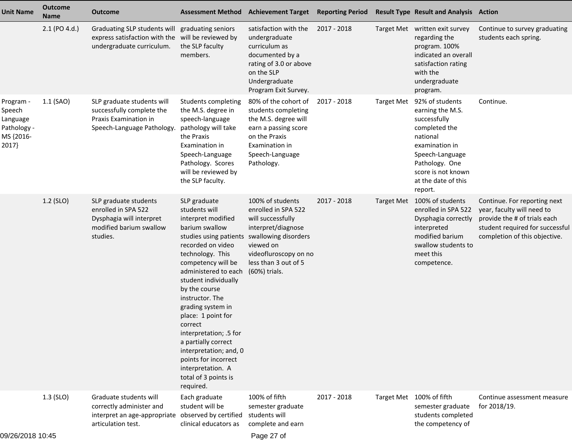| <b>Unit Name</b>                                                     | <b>Outcome</b><br>Name | <b>Outcome</b>                                                                                                                    | <b>Assessment Method</b>                                                                                                                                                                                                                                                                                                                                                                                                                                              | <b>Achievement Target</b>                                                                                                                                                                 | <b>Reporting Period</b> |                   | <b>Result Type Result and Analysis Action</b>                                                                                                                                                   |                                                                                                                                                                |
|----------------------------------------------------------------------|------------------------|-----------------------------------------------------------------------------------------------------------------------------------|-----------------------------------------------------------------------------------------------------------------------------------------------------------------------------------------------------------------------------------------------------------------------------------------------------------------------------------------------------------------------------------------------------------------------------------------------------------------------|-------------------------------------------------------------------------------------------------------------------------------------------------------------------------------------------|-------------------------|-------------------|-------------------------------------------------------------------------------------------------------------------------------------------------------------------------------------------------|----------------------------------------------------------------------------------------------------------------------------------------------------------------|
|                                                                      | 2.1 (PO 4.d.)          | Graduating SLP students will graduating seniors<br>express satisfaction with the will be reviewed by<br>undergraduate curriculum. | the SLP faculty<br>members.                                                                                                                                                                                                                                                                                                                                                                                                                                           | satisfaction with the<br>undergraduate<br>curriculum as<br>documented by a<br>rating of 3.0 or above<br>on the SLP<br>Undergraduate<br>Program Exit Survey.                               | 2017 - 2018             |                   | Target Met written exit survey<br>regarding the<br>program. 100%<br>indicated an overall<br>satisfaction rating<br>with the<br>undergraduate<br>program.                                        | Continue to survey graduating<br>students each spring.                                                                                                         |
| Program -<br>Speech<br>Language<br>Pathology -<br>MS {2016-<br>2017} | 1.1 (SAO)              | SLP graduate students will<br>successfully complete the<br>Praxis Examination in<br>Speech-Language Pathology.                    | Students completing<br>the M.S. degree in<br>speech-language<br>pathology will take<br>the Praxis<br>Examination in<br>Speech-Language<br>Pathology. Scores<br>will be reviewed by<br>the SLP faculty.                                                                                                                                                                                                                                                                | 80% of the cohort of<br>students completing<br>the M.S. degree will<br>earn a passing score<br>on the Praxis<br>Examination in<br>Speech-Language<br>Pathology.                           | 2017 - 2018             | <b>Target Met</b> | 92% of students<br>earning the M.S.<br>successfully<br>completed the<br>national<br>examination in<br>Speech-Language<br>Pathology. One<br>score is not known<br>at the date of this<br>report. | Continue.                                                                                                                                                      |
|                                                                      | 1.2 (SLO)              | SLP graduate students<br>enrolled in SPA 522<br>Dysphagia will interpret<br>modified barium swallow<br>studies.                   | SLP graduate<br>students will<br>interpret modified<br>barium swallow<br>studies using patients<br>recorded on video<br>technology. This<br>competency will be<br>administered to each<br>student individually<br>by the course<br>instructor. The<br>grading system in<br>place: 1 point for<br>correct<br>interpretation; .5 for<br>a partially correct<br>interpretation; and, 0<br>points for incorrect<br>interpretation. A<br>total of 3 points is<br>required. | 100% of students<br>enrolled in SPA 522<br>will successfully<br>interpret/diagnose<br>swallowing disorders<br>viewed on<br>videofluroscopy on no<br>less than 3 out of 5<br>(60%) trials. | 2017 - 2018             | <b>Target Met</b> | 100% of students<br>enrolled in SPA 522<br>Dysphagia correctly<br>interpreted<br>modified barium<br>swallow students to<br>meet this<br>competence.                                             | Continue. For reporting next<br>year, faculty will need to<br>provide the # of trials each<br>student required for successful<br>completion of this objective. |
|                                                                      | $1.3$ (SLO)            | Graduate students will<br>correctly administer and<br>interpret an age-appropriate observed by certified<br>articulation test.    | Each graduate<br>student will be<br>clinical educators as                                                                                                                                                                                                                                                                                                                                                                                                             | 100% of fifth<br>semester graduate<br>students will<br>complete and earn                                                                                                                  | $2017 - 2018$           |                   | Target Met 100% of fifth<br>semester graduate<br>students completed<br>the competency of                                                                                                        | Continue assessment measure<br>for 2018/19.                                                                                                                    |

Page 27 of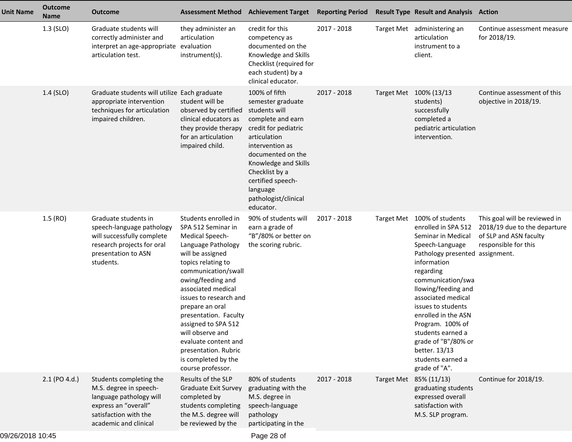| <b>Unit Name</b> | <b>Outcome</b><br><b>Name</b> | <b>Outcome</b>                                                                                                                                         | <b>Assessment Method</b>                                                                                                                                                                                                                                                                                                                                                                                     | <b>Achievement Target</b>                                                                                                                                                                                                                                                | <b>Reporting Period</b> | <b>Result Type Result and Analysis Action</b>                                                                                                                                                                                                                                                                                                                                                    |                                                                                                                 |
|------------------|-------------------------------|--------------------------------------------------------------------------------------------------------------------------------------------------------|--------------------------------------------------------------------------------------------------------------------------------------------------------------------------------------------------------------------------------------------------------------------------------------------------------------------------------------------------------------------------------------------------------------|--------------------------------------------------------------------------------------------------------------------------------------------------------------------------------------------------------------------------------------------------------------------------|-------------------------|--------------------------------------------------------------------------------------------------------------------------------------------------------------------------------------------------------------------------------------------------------------------------------------------------------------------------------------------------------------------------------------------------|-----------------------------------------------------------------------------------------------------------------|
|                  | 1.3 (SLO)                     | Graduate students will<br>correctly administer and<br>interpret an age-appropriate evaluation<br>articulation test.                                    | they administer an<br>articulation<br>instrument(s).                                                                                                                                                                                                                                                                                                                                                         | credit for this<br>competency as<br>documented on the<br>Knowledge and Skills<br>Checklist (required for<br>each student) by a<br>clinical educator.                                                                                                                     | 2017 - 2018             | Target Met administering an<br>articulation<br>instrument to a<br>client.                                                                                                                                                                                                                                                                                                                        | Continue assessment measure<br>for 2018/19.                                                                     |
|                  | 1.4 (SLO)                     | Graduate students will utilize Each graduate<br>appropriate intervention<br>techniques for articulation<br>impaired children.                          | student will be<br>observed by certified<br>clinical educators as<br>they provide therapy<br>for an articulation<br>impaired child.                                                                                                                                                                                                                                                                          | 100% of fifth<br>semester graduate<br>students will<br>complete and earn<br>credit for pediatric<br>articulation<br>intervention as<br>documented on the<br>Knowledge and Skills<br>Checklist by a<br>certified speech-<br>language<br>pathologist/clinical<br>educator. | 2017 - 2018             | Target Met 100% (13/13<br>students)<br>successfully<br>completed a<br>pediatric articulation<br>intervention.                                                                                                                                                                                                                                                                                    | Continue assessment of this<br>objective in 2018/19.                                                            |
|                  | 1.5(RO)                       | Graduate students in<br>speech-language pathology<br>will successfully complete<br>research projects for oral<br>presentation to ASN<br>students.      | Students enrolled in<br>SPA 512 Seminar in<br>Medical Speech-<br>Language Pathology<br>will be assigned<br>topics relating to<br>communication/swall<br>owing/feeding and<br>associated medical<br>issues to research and<br>prepare an oral<br>presentation. Faculty<br>assigned to SPA 512<br>will observe and<br>evaluate content and<br>presentation. Rubric<br>is completed by the<br>course professor. | 90% of students will<br>earn a grade of<br>"B"/80% or better on<br>the scoring rubric.                                                                                                                                                                                   | 2017 - 2018             | Target Met 100% of students<br>enrolled in SPA 512<br>Seminar in Medical<br>Speech-Language<br>Pathology presented assignment.<br>information<br>regarding<br>communication/swa<br>llowing/feeding and<br>associated medical<br>issues to students<br>enrolled in the ASN<br>Program. 100% of<br>students earned a<br>grade of "B"/80% or<br>better. 13/13<br>students earned a<br>grade of "A". | This goal will be reviewed in<br>2018/19 due to the departure<br>of SLP and ASN faculty<br>responsible for this |
|                  | $2.1$ (PO 4.d.)               | Students completing the<br>M.S. degree in speech-<br>language pathology will<br>express an "overall"<br>satisfaction with the<br>academic and clinical | Results of the SLP<br><b>Graduate Exit Survey</b><br>completed by<br>students completing<br>the M.S. degree will<br>be reviewed by the                                                                                                                                                                                                                                                                       | 80% of students<br>graduating with the<br>M.S. degree in<br>speech-language<br>pathology<br>participating in the                                                                                                                                                         | 2017 - 2018             | Target Met 85% (11/13)<br>graduating students<br>expressed overall<br>satisfaction with<br>M.S. SLP program.                                                                                                                                                                                                                                                                                     | Continue for 2018/19.                                                                                           |